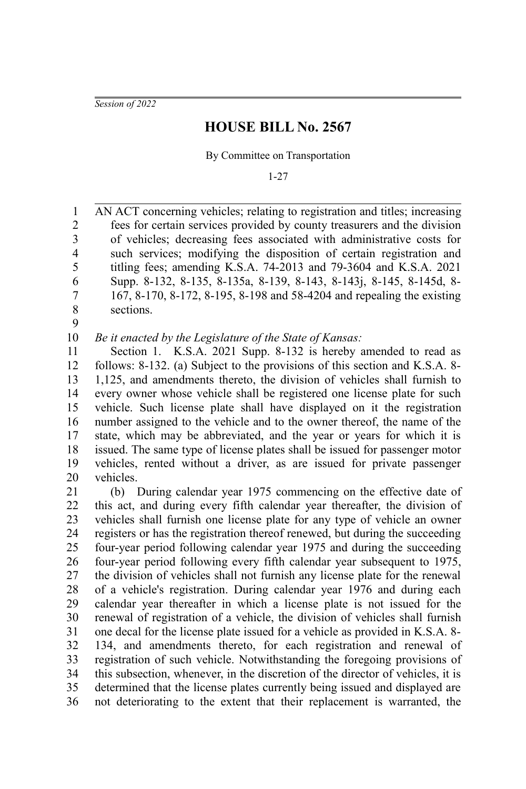*Session of 2022*

## **HOUSE BILL No. 2567**

By Committee on Transportation

1-27

AN ACT concerning vehicles; relating to registration and titles; increasing fees for certain services provided by county treasurers and the division of vehicles; decreasing fees associated with administrative costs for such services; modifying the disposition of certain registration and titling fees; amending K.S.A. 74-2013 and 79-3604 and K.S.A. 2021 Supp. 8-132, 8-135, 8-135a, 8-139, 8-143, 8-143j, 8-145, 8-145d, 8- 167, 8-170, 8-172, 8-195, 8-198 and 58-4204 and repealing the existing sections. 1 2 3 4 5 6 7 8

9

*Be it enacted by the Legislature of the State of Kansas:* 10

Section 1. K.S.A. 2021 Supp. 8-132 is hereby amended to read as follows: 8-132. (a) Subject to the provisions of this section and K.S.A. 8- 1,125, and amendments thereto, the division of vehicles shall furnish to every owner whose vehicle shall be registered one license plate for such vehicle. Such license plate shall have displayed on it the registration number assigned to the vehicle and to the owner thereof, the name of the state, which may be abbreviated, and the year or years for which it is issued. The same type of license plates shall be issued for passenger motor vehicles, rented without a driver, as are issued for private passenger vehicles. 11 12 13 14 15 16 17 18 19 20

(b) During calendar year 1975 commencing on the effective date of this act, and during every fifth calendar year thereafter, the division of vehicles shall furnish one license plate for any type of vehicle an owner registers or has the registration thereof renewed, but during the succeeding four-year period following calendar year 1975 and during the succeeding four-year period following every fifth calendar year subsequent to 1975, the division of vehicles shall not furnish any license plate for the renewal of a vehicle's registration. During calendar year 1976 and during each calendar year thereafter in which a license plate is not issued for the renewal of registration of a vehicle, the division of vehicles shall furnish one decal for the license plate issued for a vehicle as provided in K.S.A. 8- 134, and amendments thereto, for each registration and renewal of registration of such vehicle. Notwithstanding the foregoing provisions of this subsection, whenever, in the discretion of the director of vehicles, it is determined that the license plates currently being issued and displayed are not deteriorating to the extent that their replacement is warranted, the 21 22 23 24 25 26 27 28 29 30 31 32 33 34 35 36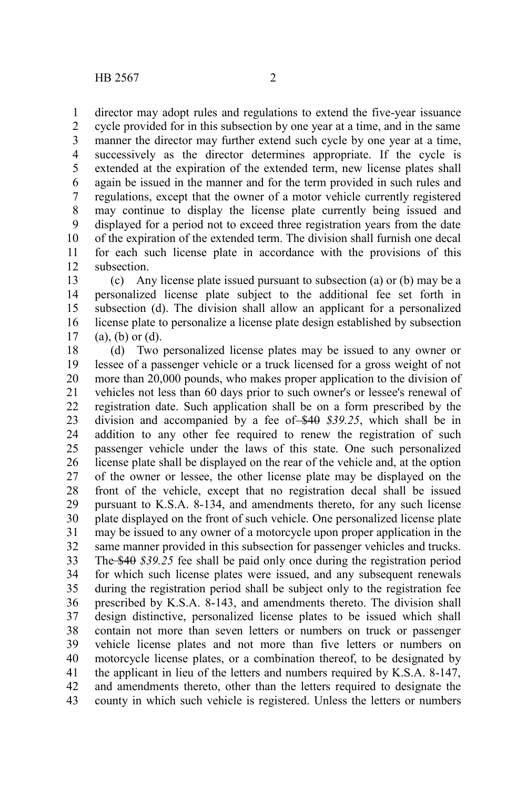director may adopt rules and regulations to extend the five-year issuance 1

cycle provided for in this subsection by one year at a time, and in the same manner the director may further extend such cycle by one year at a time, successively as the director determines appropriate. If the cycle is extended at the expiration of the extended term, new license plates shall again be issued in the manner and for the term provided in such rules and regulations, except that the owner of a motor vehicle currently registered may continue to display the license plate currently being issued and displayed for a period not to exceed three registration years from the date of the expiration of the extended term. The division shall furnish one decal for each such license plate in accordance with the provisions of this subsection. 2 3 4 5 6 7 8 9 10 11 12

(c) Any license plate issued pursuant to subsection (a) or (b) may be a personalized license plate subject to the additional fee set forth in subsection (d). The division shall allow an applicant for a personalized license plate to personalize a license plate design established by subsection (a), (b) or (d). 13 14 15 16 17

(d) Two personalized license plates may be issued to any owner or lessee of a passenger vehicle or a truck licensed for a gross weight of not more than 20,000 pounds, who makes proper application to the division of vehicles not less than 60 days prior to such owner's or lessee's renewal of registration date. Such application shall be on a form prescribed by the division and accompanied by a fee of \$40 \$39.25, which shall be in addition to any other fee required to renew the registration of such passenger vehicle under the laws of this state. One such personalized license plate shall be displayed on the rear of the vehicle and, at the option of the owner or lessee, the other license plate may be displayed on the front of the vehicle, except that no registration decal shall be issued pursuant to K.S.A. 8-134, and amendments thereto, for any such license plate displayed on the front of such vehicle. One personalized license plate may be issued to any owner of a motorcycle upon proper application in the same manner provided in this subsection for passenger vehicles and trucks. The \$40 *\$39.25* fee shall be paid only once during the registration period for which such license plates were issued, and any subsequent renewals during the registration period shall be subject only to the registration fee prescribed by K.S.A. 8-143, and amendments thereto. The division shall design distinctive, personalized license plates to be issued which shall contain not more than seven letters or numbers on truck or passenger vehicle license plates and not more than five letters or numbers on motorcycle license plates, or a combination thereof, to be designated by the applicant in lieu of the letters and numbers required by K.S.A. 8-147, and amendments thereto, other than the letters required to designate the county in which such vehicle is registered. Unless the letters or numbers 18 19 20 21 22 23 24 25 26 27 28 29 30 31 32 33 34 35 36 37 38 39 40 41 42 43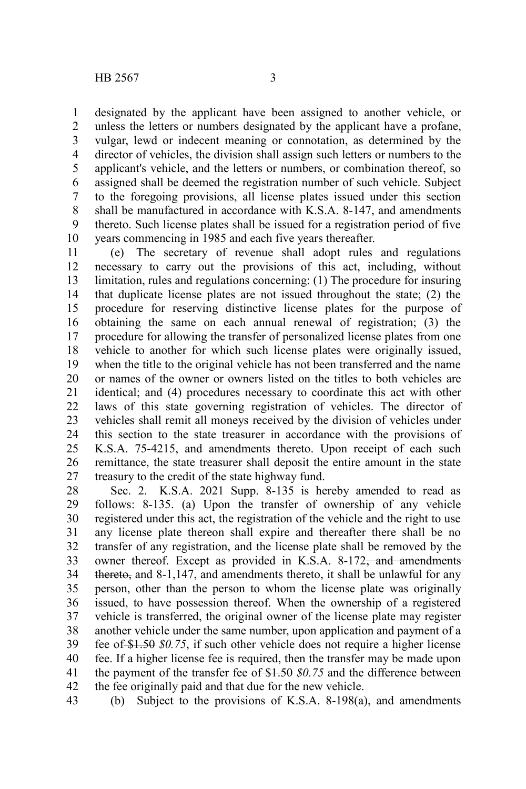designated by the applicant have been assigned to another vehicle, or unless the letters or numbers designated by the applicant have a profane, vulgar, lewd or indecent meaning or connotation, as determined by the director of vehicles, the division shall assign such letters or numbers to the applicant's vehicle, and the letters or numbers, or combination thereof, so assigned shall be deemed the registration number of such vehicle. Subject to the foregoing provisions, all license plates issued under this section shall be manufactured in accordance with K.S.A. 8-147, and amendments thereto. Such license plates shall be issued for a registration period of five years commencing in 1985 and each five years thereafter. 1 2 3 4 5 6 7 8 9 10

(e) The secretary of revenue shall adopt rules and regulations necessary to carry out the provisions of this act, including, without limitation, rules and regulations concerning: (1) The procedure for insuring that duplicate license plates are not issued throughout the state; (2) the procedure for reserving distinctive license plates for the purpose of obtaining the same on each annual renewal of registration; (3) the procedure for allowing the transfer of personalized license plates from one vehicle to another for which such license plates were originally issued, when the title to the original vehicle has not been transferred and the name or names of the owner or owners listed on the titles to both vehicles are identical; and (4) procedures necessary to coordinate this act with other laws of this state governing registration of vehicles. The director of vehicles shall remit all moneys received by the division of vehicles under this section to the state treasurer in accordance with the provisions of K.S.A. 75-4215, and amendments thereto. Upon receipt of each such remittance, the state treasurer shall deposit the entire amount in the state treasury to the credit of the state highway fund. 11 12 13 14 15 16 17 18 19 20 21 22 23 24 25 26 27

Sec. 2. K.S.A. 2021 Supp. 8-135 is hereby amended to read as follows: 8-135. (a) Upon the transfer of ownership of any vehicle registered under this act, the registration of the vehicle and the right to use any license plate thereon shall expire and thereafter there shall be no transfer of any registration, and the license plate shall be removed by the owner thereof. Except as provided in K.S.A. 8-172<del>, and amendments</del> thereto, and 8-1,147, and amendments thereto, it shall be unlawful for any person, other than the person to whom the license plate was originally issued, to have possession thereof. When the ownership of a registered vehicle is transferred, the original owner of the license plate may register another vehicle under the same number, upon application and payment of a fee of \$1.50 *\$0.75*, if such other vehicle does not require a higher license fee. If a higher license fee is required, then the transfer may be made upon the payment of the transfer fee of \$1.50 \$0.75 and the difference between the fee originally paid and that due for the new vehicle. 28 29 30 31 32 33 34 35 36 37 38 39 40 41 42

(b) Subject to the provisions of K.S.A. 8-198(a), and amendments 43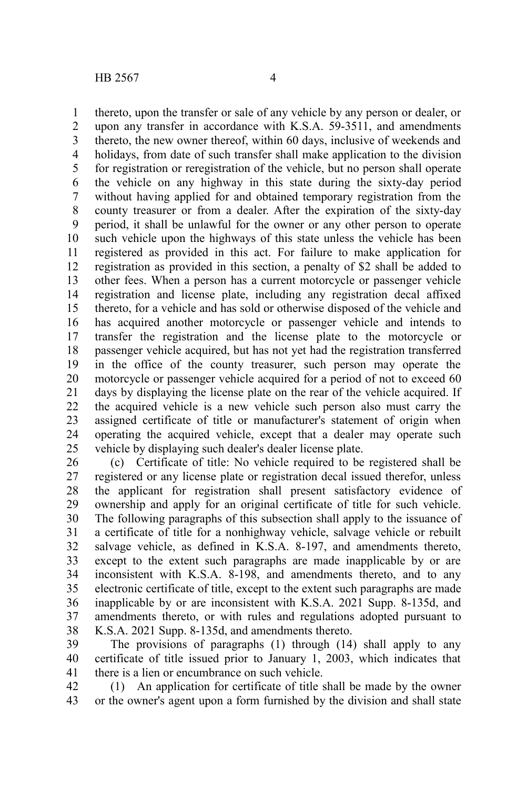thereto, upon the transfer or sale of any vehicle by any person or dealer, or upon any transfer in accordance with K.S.A. 59-3511, and amendments thereto, the new owner thereof, within 60 days, inclusive of weekends and holidays, from date of such transfer shall make application to the division for registration or reregistration of the vehicle, but no person shall operate the vehicle on any highway in this state during the sixty-day period without having applied for and obtained temporary registration from the county treasurer or from a dealer. After the expiration of the sixty-day period, it shall be unlawful for the owner or any other person to operate such vehicle upon the highways of this state unless the vehicle has been registered as provided in this act. For failure to make application for registration as provided in this section, a penalty of \$2 shall be added to other fees. When a person has a current motorcycle or passenger vehicle registration and license plate, including any registration decal affixed thereto, for a vehicle and has sold or otherwise disposed of the vehicle and has acquired another motorcycle or passenger vehicle and intends to transfer the registration and the license plate to the motorcycle or passenger vehicle acquired, but has not yet had the registration transferred in the office of the county treasurer, such person may operate the motorcycle or passenger vehicle acquired for a period of not to exceed 60 days by displaying the license plate on the rear of the vehicle acquired. If the acquired vehicle is a new vehicle such person also must carry the assigned certificate of title or manufacturer's statement of origin when operating the acquired vehicle, except that a dealer may operate such vehicle by displaying such dealer's dealer license plate. 1 2 3 4 5 6 7 8 9 10 11 12 13 14 15 16 17 18 19 20 21 22 23 24 25

(c) Certificate of title: No vehicle required to be registered shall be registered or any license plate or registration decal issued therefor, unless the applicant for registration shall present satisfactory evidence of ownership and apply for an original certificate of title for such vehicle. The following paragraphs of this subsection shall apply to the issuance of a certificate of title for a nonhighway vehicle, salvage vehicle or rebuilt salvage vehicle, as defined in K.S.A. 8-197, and amendments thereto, except to the extent such paragraphs are made inapplicable by or are inconsistent with K.S.A. 8-198, and amendments thereto, and to any electronic certificate of title, except to the extent such paragraphs are made inapplicable by or are inconsistent with K.S.A. 2021 Supp. 8-135d, and amendments thereto, or with rules and regulations adopted pursuant to K.S.A. 2021 Supp. 8-135d, and amendments thereto. 26 27 28 29 30 31 32 33 34 35 36 37 38

The provisions of paragraphs (1) through (14) shall apply to any certificate of title issued prior to January 1, 2003, which indicates that there is a lien or encumbrance on such vehicle. 39 40 41

(1) An application for certificate of title shall be made by the owner or the owner's agent upon a form furnished by the division and shall state 42 43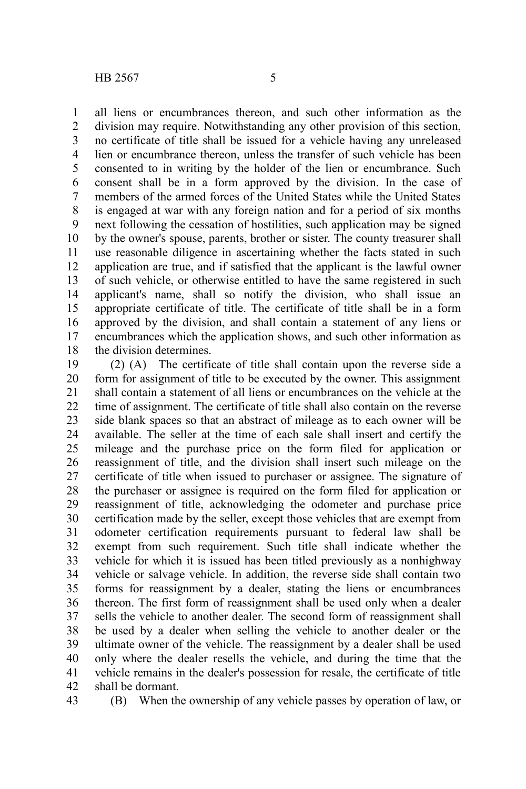all liens or encumbrances thereon, and such other information as the division may require. Notwithstanding any other provision of this section, no certificate of title shall be issued for a vehicle having any unreleased lien or encumbrance thereon, unless the transfer of such vehicle has been consented to in writing by the holder of the lien or encumbrance. Such consent shall be in a form approved by the division. In the case of members of the armed forces of the United States while the United States is engaged at war with any foreign nation and for a period of six months next following the cessation of hostilities, such application may be signed by the owner's spouse, parents, brother or sister. The county treasurer shall use reasonable diligence in ascertaining whether the facts stated in such application are true, and if satisfied that the applicant is the lawful owner of such vehicle, or otherwise entitled to have the same registered in such applicant's name, shall so notify the division, who shall issue an appropriate certificate of title. The certificate of title shall be in a form approved by the division, and shall contain a statement of any liens or encumbrances which the application shows, and such other information as the division determines. 1 2 3 4 5 6 7 8 9 10 11 12 13 14 15 16 17 18

(2) (A) The certificate of title shall contain upon the reverse side a form for assignment of title to be executed by the owner. This assignment shall contain a statement of all liens or encumbrances on the vehicle at the time of assignment. The certificate of title shall also contain on the reverse side blank spaces so that an abstract of mileage as to each owner will be available. The seller at the time of each sale shall insert and certify the mileage and the purchase price on the form filed for application or reassignment of title, and the division shall insert such mileage on the certificate of title when issued to purchaser or assignee. The signature of the purchaser or assignee is required on the form filed for application or reassignment of title, acknowledging the odometer and purchase price certification made by the seller, except those vehicles that are exempt from odometer certification requirements pursuant to federal law shall be exempt from such requirement. Such title shall indicate whether the vehicle for which it is issued has been titled previously as a nonhighway vehicle or salvage vehicle. In addition, the reverse side shall contain two forms for reassignment by a dealer, stating the liens or encumbrances thereon. The first form of reassignment shall be used only when a dealer sells the vehicle to another dealer. The second form of reassignment shall be used by a dealer when selling the vehicle to another dealer or the ultimate owner of the vehicle. The reassignment by a dealer shall be used only where the dealer resells the vehicle, and during the time that the vehicle remains in the dealer's possession for resale, the certificate of title shall be dormant. 19 20 21 22 23 24 25 26 27 28 29 30 31 32 33 34 35 36 37 38 39 40 41 42

43

(B) When the ownership of any vehicle passes by operation of law, or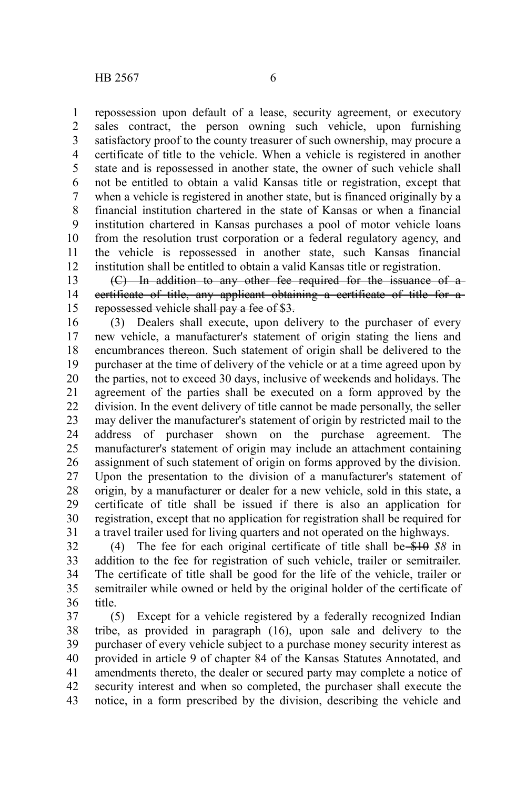repossession upon default of a lease, security agreement, or executory sales contract, the person owning such vehicle, upon furnishing satisfactory proof to the county treasurer of such ownership, may procure a certificate of title to the vehicle. When a vehicle is registered in another state and is repossessed in another state, the owner of such vehicle shall not be entitled to obtain a valid Kansas title or registration, except that when a vehicle is registered in another state, but is financed originally by a financial institution chartered in the state of Kansas or when a financial institution chartered in Kansas purchases a pool of motor vehicle loans from the resolution trust corporation or a federal regulatory agency, and the vehicle is repossessed in another state, such Kansas financial institution shall be entitled to obtain a valid Kansas title or registration. 1 2 3 4 5 6 7 8 9 10 11 12

(C) In addition to any other fee required for the issuance of a certificate of title, any applicant obtaining a certificate of title for a repossessed vehicle shall pay a fee of \$3. 13 14 15

(3) Dealers shall execute, upon delivery to the purchaser of every new vehicle, a manufacturer's statement of origin stating the liens and encumbrances thereon. Such statement of origin shall be delivered to the purchaser at the time of delivery of the vehicle or at a time agreed upon by the parties, not to exceed 30 days, inclusive of weekends and holidays. The agreement of the parties shall be executed on a form approved by the division. In the event delivery of title cannot be made personally, the seller may deliver the manufacturer's statement of origin by restricted mail to the address of purchaser shown on the purchase agreement. The manufacturer's statement of origin may include an attachment containing assignment of such statement of origin on forms approved by the division. Upon the presentation to the division of a manufacturer's statement of origin, by a manufacturer or dealer for a new vehicle, sold in this state, a certificate of title shall be issued if there is also an application for registration, except that no application for registration shall be required for a travel trailer used for living quarters and not operated on the highways. 16 17 18 19 20 21 22 23 24 25 26 27 28 29 30 31

(4) The fee for each original certificate of title shall be \$10 *\$8* in addition to the fee for registration of such vehicle, trailer or semitrailer. The certificate of title shall be good for the life of the vehicle, trailer or semitrailer while owned or held by the original holder of the certificate of title. 32 33 34 35 36

(5) Except for a vehicle registered by a federally recognized Indian tribe, as provided in paragraph (16), upon sale and delivery to the purchaser of every vehicle subject to a purchase money security interest as provided in article 9 of chapter 84 of the Kansas Statutes Annotated, and amendments thereto, the dealer or secured party may complete a notice of security interest and when so completed, the purchaser shall execute the notice, in a form prescribed by the division, describing the vehicle and 37 38 39 40 41 42 43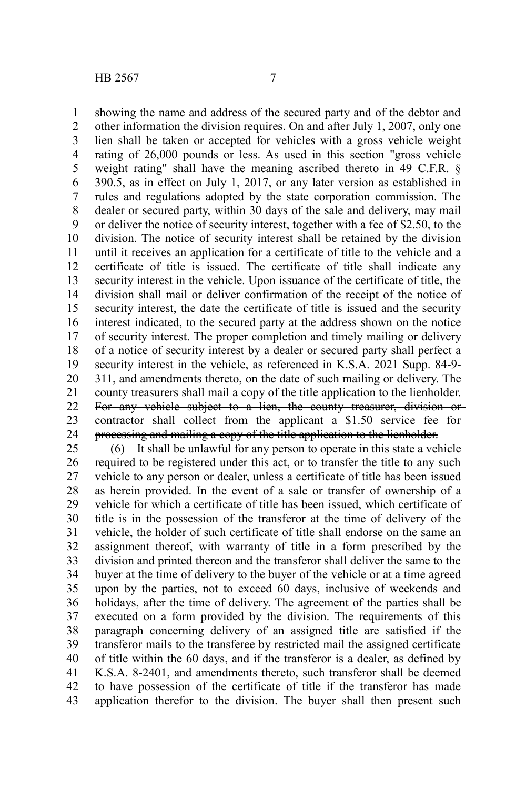showing the name and address of the secured party and of the debtor and other information the division requires. On and after July 1, 2007, only one lien shall be taken or accepted for vehicles with a gross vehicle weight rating of 26,000 pounds or less. As used in this section "gross vehicle weight rating" shall have the meaning ascribed thereto in 49 C.F.R. § 390.5, as in effect on July 1, 2017, or any later version as established in rules and regulations adopted by the state corporation commission. The dealer or secured party, within 30 days of the sale and delivery, may mail or deliver the notice of security interest, together with a fee of \$2.50, to the division. The notice of security interest shall be retained by the division until it receives an application for a certificate of title to the vehicle and a certificate of title is issued. The certificate of title shall indicate any security interest in the vehicle. Upon issuance of the certificate of title, the division shall mail or deliver confirmation of the receipt of the notice of security interest, the date the certificate of title is issued and the security interest indicated, to the secured party at the address shown on the notice of security interest. The proper completion and timely mailing or delivery of a notice of security interest by a dealer or secured party shall perfect a security interest in the vehicle, as referenced in K.S.A. 2021 Supp. 84-9- 311, and amendments thereto, on the date of such mailing or delivery. The county treasurers shall mail a copy of the title application to the lienholder. For any vehicle subject to a lien, the county treasurer, division or contractor shall collect from the applicant a \$1.50 service fee for processing and mailing a copy of the title application to the lienholder. 1 2 3 4 5 6 7 8 9 10 11 12 13 14 15 16 17 18 19 20 21 22 23 24

(6) It shall be unlawful for any person to operate in this state a vehicle required to be registered under this act, or to transfer the title to any such vehicle to any person or dealer, unless a certificate of title has been issued as herein provided. In the event of a sale or transfer of ownership of a vehicle for which a certificate of title has been issued, which certificate of title is in the possession of the transferor at the time of delivery of the vehicle, the holder of such certificate of title shall endorse on the same an assignment thereof, with warranty of title in a form prescribed by the division and printed thereon and the transferor shall deliver the same to the buyer at the time of delivery to the buyer of the vehicle or at a time agreed upon by the parties, not to exceed 60 days, inclusive of weekends and holidays, after the time of delivery. The agreement of the parties shall be executed on a form provided by the division. The requirements of this paragraph concerning delivery of an assigned title are satisfied if the transferor mails to the transferee by restricted mail the assigned certificate of title within the 60 days, and if the transferor is a dealer, as defined by K.S.A. 8-2401, and amendments thereto, such transferor shall be deemed to have possession of the certificate of title if the transferor has made application therefor to the division. The buyer shall then present such 25 26 27 28 29 30 31 32 33 34 35 36 37 38 39 40 41 42 43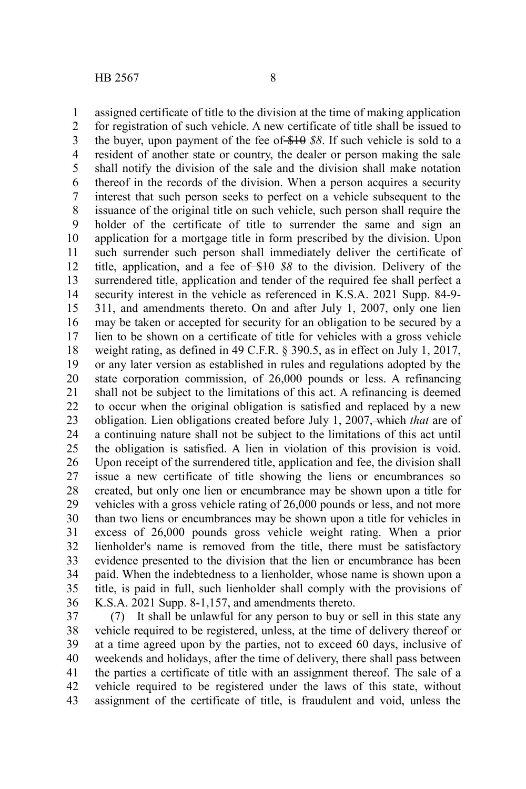assigned certificate of title to the division at the time of making application for registration of such vehicle. A new certificate of title shall be issued to the buyer, upon payment of the fee of \$10 *\$8*. If such vehicle is sold to a resident of another state or country, the dealer or person making the sale shall notify the division of the sale and the division shall make notation thereof in the records of the division. When a person acquires a security interest that such person seeks to perfect on a vehicle subsequent to the issuance of the original title on such vehicle, such person shall require the holder of the certificate of title to surrender the same and sign an application for a mortgage title in form prescribed by the division. Upon such surrender such person shall immediately deliver the certificate of title, application, and a fee of \$10 *\$8* to the division. Delivery of the surrendered title, application and tender of the required fee shall perfect a security interest in the vehicle as referenced in K.S.A. 2021 Supp. 84-9- 311, and amendments thereto. On and after July 1, 2007, only one lien may be taken or accepted for security for an obligation to be secured by a lien to be shown on a certificate of title for vehicles with a gross vehicle weight rating, as defined in 49 C.F.R. § 390.5, as in effect on July 1, 2017, or any later version as established in rules and regulations adopted by the state corporation commission, of 26,000 pounds or less. A refinancing shall not be subject to the limitations of this act. A refinancing is deemed to occur when the original obligation is satisfied and replaced by a new obligation. Lien obligations created before July 1, 2007, which *that* are of a continuing nature shall not be subject to the limitations of this act until the obligation is satisfied. A lien in violation of this provision is void. Upon receipt of the surrendered title, application and fee, the division shall issue a new certificate of title showing the liens or encumbrances so created, but only one lien or encumbrance may be shown upon a title for vehicles with a gross vehicle rating of 26,000 pounds or less, and not more than two liens or encumbrances may be shown upon a title for vehicles in excess of 26,000 pounds gross vehicle weight rating. When a prior lienholder's name is removed from the title, there must be satisfactory evidence presented to the division that the lien or encumbrance has been paid. When the indebtedness to a lienholder, whose name is shown upon a title, is paid in full, such lienholder shall comply with the provisions of K.S.A. 2021 Supp. 8-1,157, and amendments thereto. 1 2 3 4 5 6 7 8 9 10 11 12 13 14 15 16 17 18 19 20 21 22 23 24 25 26 27 28 29 30 31 32 33 34 35 36

(7) It shall be unlawful for any person to buy or sell in this state any vehicle required to be registered, unless, at the time of delivery thereof or at a time agreed upon by the parties, not to exceed 60 days, inclusive of weekends and holidays, after the time of delivery, there shall pass between the parties a certificate of title with an assignment thereof. The sale of a vehicle required to be registered under the laws of this state, without assignment of the certificate of title, is fraudulent and void, unless the 37 38 39 40 41 42 43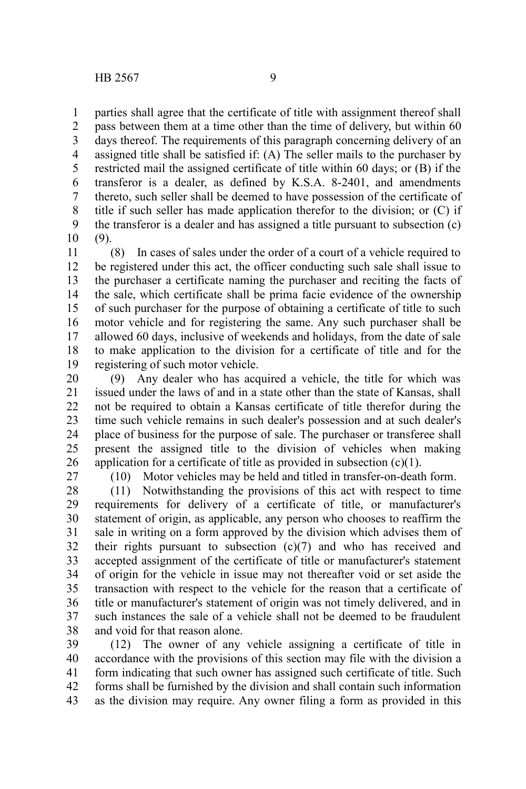parties shall agree that the certificate of title with assignment thereof shall 1

pass between them at a time other than the time of delivery, but within 60 days thereof. The requirements of this paragraph concerning delivery of an assigned title shall be satisfied if: (A) The seller mails to the purchaser by restricted mail the assigned certificate of title within 60 days; or (B) if the transferor is a dealer, as defined by K.S.A. 8-2401, and amendments thereto, such seller shall be deemed to have possession of the certificate of title if such seller has made application therefor to the division; or (C) if the transferor is a dealer and has assigned a title pursuant to subsection (c) (9). 2 3 4 5 6 7 8 9 10

(8) In cases of sales under the order of a court of a vehicle required to be registered under this act, the officer conducting such sale shall issue to the purchaser a certificate naming the purchaser and reciting the facts of the sale, which certificate shall be prima facie evidence of the ownership of such purchaser for the purpose of obtaining a certificate of title to such motor vehicle and for registering the same. Any such purchaser shall be allowed 60 days, inclusive of weekends and holidays, from the date of sale to make application to the division for a certificate of title and for the registering of such motor vehicle. 11 12 13 14 15 16 17 18 19

(9) Any dealer who has acquired a vehicle, the title for which was issued under the laws of and in a state other than the state of Kansas, shall not be required to obtain a Kansas certificate of title therefor during the time such vehicle remains in such dealer's possession and at such dealer's place of business for the purpose of sale. The purchaser or transferee shall present the assigned title to the division of vehicles when making application for a certificate of title as provided in subsection  $(c)(1)$ . 20 21 22 23 24 25 26

27

(10) Motor vehicles may be held and titled in transfer-on-death form.

(11) Notwithstanding the provisions of this act with respect to time requirements for delivery of a certificate of title, or manufacturer's statement of origin, as applicable, any person who chooses to reaffirm the sale in writing on a form approved by the division which advises them of their rights pursuant to subsection (c)(7) and who has received and accepted assignment of the certificate of title or manufacturer's statement of origin for the vehicle in issue may not thereafter void or set aside the transaction with respect to the vehicle for the reason that a certificate of title or manufacturer's statement of origin was not timely delivered, and in such instances the sale of a vehicle shall not be deemed to be fraudulent and void for that reason alone. 28 29 30 31 32 33 34 35 36 37 38

(12) The owner of any vehicle assigning a certificate of title in accordance with the provisions of this section may file with the division a form indicating that such owner has assigned such certificate of title. Such forms shall be furnished by the division and shall contain such information as the division may require. Any owner filing a form as provided in this 39 40 41 42 43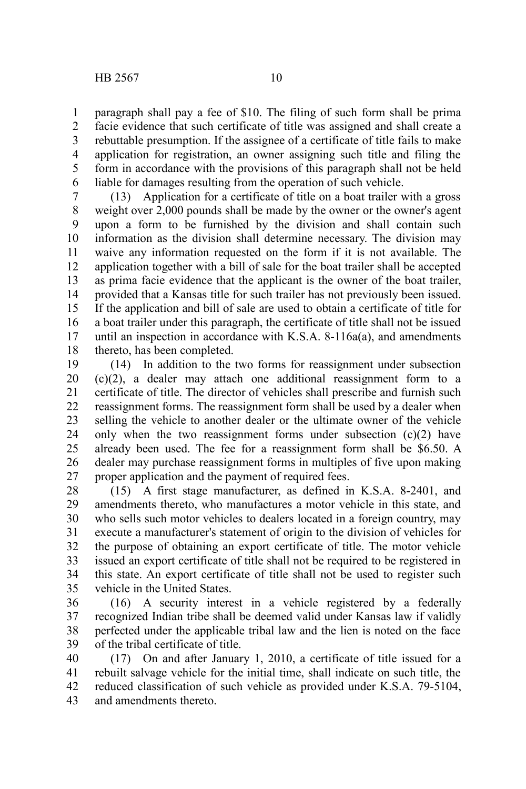paragraph shall pay a fee of \$10. The filing of such form shall be prima facie evidence that such certificate of title was assigned and shall create a rebuttable presumption. If the assignee of a certificate of title fails to make application for registration, an owner assigning such title and filing the form in accordance with the provisions of this paragraph shall not be held liable for damages resulting from the operation of such vehicle. 1 2 3 4 5 6

(13) Application for a certificate of title on a boat trailer with a gross weight over 2,000 pounds shall be made by the owner or the owner's agent upon a form to be furnished by the division and shall contain such information as the division shall determine necessary. The division may waive any information requested on the form if it is not available. The application together with a bill of sale for the boat trailer shall be accepted as prima facie evidence that the applicant is the owner of the boat trailer, provided that a Kansas title for such trailer has not previously been issued. If the application and bill of sale are used to obtain a certificate of title for a boat trailer under this paragraph, the certificate of title shall not be issued until an inspection in accordance with K.S.A. 8-116a(a), and amendments thereto, has been completed. 7 8 9 10 11 12 13 14 15 16 17 18

(14) In addition to the two forms for reassignment under subsection (c)(2), a dealer may attach one additional reassignment form to a certificate of title. The director of vehicles shall prescribe and furnish such reassignment forms. The reassignment form shall be used by a dealer when selling the vehicle to another dealer or the ultimate owner of the vehicle only when the two reassignment forms under subsection  $(c)(2)$  have already been used. The fee for a reassignment form shall be \$6.50. A dealer may purchase reassignment forms in multiples of five upon making proper application and the payment of required fees. 19 20 21 22 23 24 25 26 27

(15) A first stage manufacturer, as defined in K.S.A. 8-2401, and amendments thereto, who manufactures a motor vehicle in this state, and who sells such motor vehicles to dealers located in a foreign country, may execute a manufacturer's statement of origin to the division of vehicles for the purpose of obtaining an export certificate of title. The motor vehicle issued an export certificate of title shall not be required to be registered in this state. An export certificate of title shall not be used to register such vehicle in the United States. 28 29 30 31 32 33 34 35

(16) A security interest in a vehicle registered by a federally recognized Indian tribe shall be deemed valid under Kansas law if validly perfected under the applicable tribal law and the lien is noted on the face of the tribal certificate of title. 36 37 38 39

(17) On and after January 1, 2010, a certificate of title issued for a rebuilt salvage vehicle for the initial time, shall indicate on such title, the reduced classification of such vehicle as provided under K.S.A. 79-5104, and amendments thereto. 40 41 42 43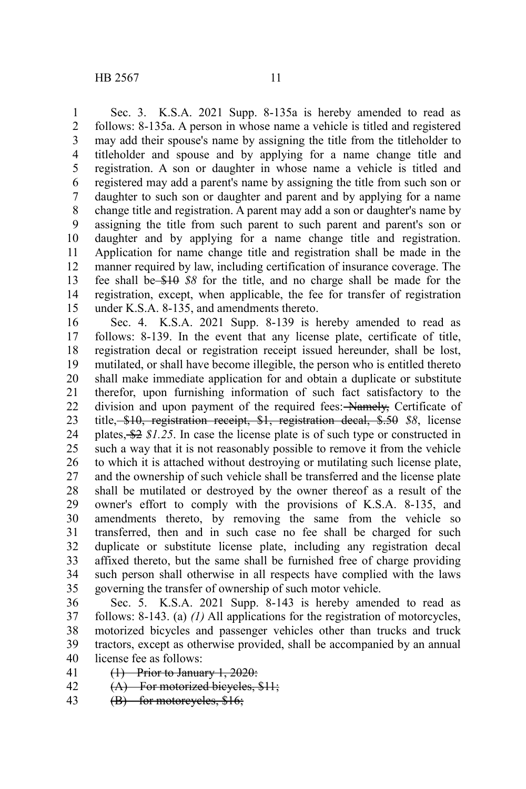Sec. 3. K.S.A. 2021 Supp. 8-135a is hereby amended to read as follows: 8-135a. A person in whose name a vehicle is titled and registered may add their spouse's name by assigning the title from the titleholder to titleholder and spouse and by applying for a name change title and registration. A son or daughter in whose name a vehicle is titled and registered may add a parent's name by assigning the title from such son or daughter to such son or daughter and parent and by applying for a name change title and registration. A parent may add a son or daughter's name by assigning the title from such parent to such parent and parent's son or daughter and by applying for a name change title and registration. Application for name change title and registration shall be made in the manner required by law, including certification of insurance coverage. The fee shall be \$10 *\$8* for the title, and no charge shall be made for the registration, except, when applicable, the fee for transfer of registration under K.S.A. 8-135, and amendments thereto. 1 2 3 4 5 6 7 8 9 10 11 12 13 14 15

Sec. 4. K.S.A. 2021 Supp. 8-139 is hereby amended to read as follows: 8-139. In the event that any license plate, certificate of title, registration decal or registration receipt issued hereunder, shall be lost, mutilated, or shall have become illegible, the person who is entitled thereto shall make immediate application for and obtain a duplicate or substitute therefor, upon furnishing information of such fact satisfactory to the division and upon payment of the required fees: Namely, Certificate of title, \$10, registration receipt, \$1, registration decal, \$.50 *\$8*, license plates, \$2 *\$1.25*. In case the license plate is of such type or constructed in such a way that it is not reasonably possible to remove it from the vehicle to which it is attached without destroying or mutilating such license plate, and the ownership of such vehicle shall be transferred and the license plate shall be mutilated or destroyed by the owner thereof as a result of the owner's effort to comply with the provisions of K.S.A. 8-135, and amendments thereto, by removing the same from the vehicle so transferred, then and in such case no fee shall be charged for such duplicate or substitute license plate, including any registration decal affixed thereto, but the same shall be furnished free of charge providing such person shall otherwise in all respects have complied with the laws governing the transfer of ownership of such motor vehicle. 16 17 18 19 20 21 22 23 24 25 26 27 28 29 30 31 32 33 34 35

Sec. 5. K.S.A. 2021 Supp. 8-143 is hereby amended to read as follows: 8-143. (a) *(1)* All applications for the registration of motorcycles, motorized bicycles and passenger vehicles other than trucks and truck tractors, except as otherwise provided, shall be accompanied by an annual license fee as follows: 36 37 38 39 40

(1) Prior to January 1, 2020: 41

- (A) For motorized bicycles, \$11; 42
- (B) for motorcycles, \$16; 43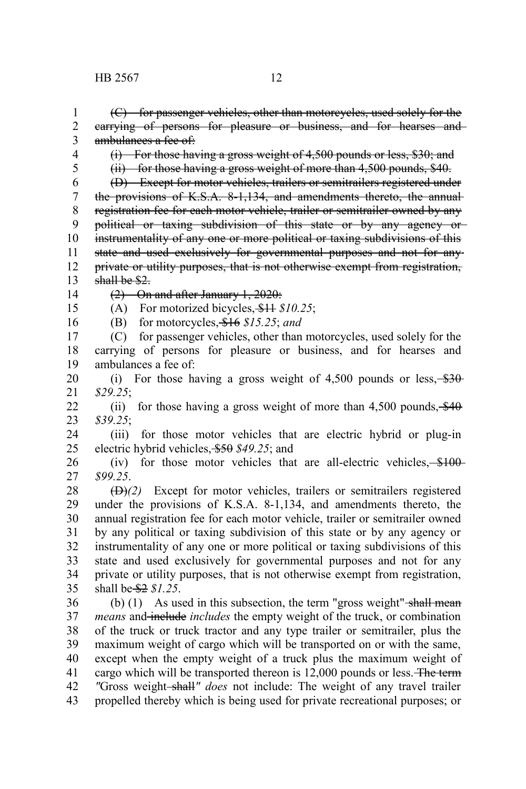(C) for passenger vehicles, other than motorcycles, used solely for the carrying of persons for pleasure or business, and for hearses and ambulances a fee of: (i) For those having a gross weight of 4,500 pounds or less, \$30; and (ii) for those having a gross weight of more than 4,500 pounds, \$40. (D) Except for motor vehicles, trailers or semitrailers registered under the provisions of K.S.A. 8-1,134, and amendments thereto, the annualregistration fee for each motor vehicle, trailer or semitrailer owned by any political or taxing subdivision of this state or by any agency or instrumentality of any one or more political or taxing subdivisions of this state and used exclusively for governmental purposes and not for any private or utility purposes, that is not otherwise exempt from registration, shall be \$2. (2) On and after January 1, 2020: (A) For motorized bicycles, \$11 *\$10.25*; (B) for motorcycles, \$16 *\$15.25*; *and* (C) for passenger vehicles, other than motorcycles, used solely for the carrying of persons for pleasure or business, and for hearses and ambulances a fee of: (i) For those having a gross weight of  $4,500$  pounds or less,  $\frac{$30}{60}$ *\$29.25*; (ii) for those having a gross weight of more than  $4,500$  pounds,  $\frac{$40}{90}$ *\$39.25*; (iii) for those motor vehicles that are electric hybrid or plug-in electric hybrid vehicles, \$50 *\$49.25*; and (iv) for those motor vehicles that are all-electric vehicles,  $\frac{$100}{100}$ *\$99.25*. (D)*(2)* Except for motor vehicles, trailers or semitrailers registered under the provisions of K.S.A. 8-1,134, and amendments thereto, the annual registration fee for each motor vehicle, trailer or semitrailer owned by any political or taxing subdivision of this state or by any agency or instrumentality of any one or more political or taxing subdivisions of this state and used exclusively for governmental purposes and not for any private or utility purposes, that is not otherwise exempt from registration, shall be \$2 *\$1.25*. (b)  $(1)$  As used in this subsection, the term "gross weight" shall mean *means* and include *includes* the empty weight of the truck, or combination of the truck or truck tractor and any type trailer or semitrailer, plus the maximum weight of cargo which will be transported on or with the same, except when the empty weight of a truck plus the maximum weight of cargo which will be transported thereon is 12,000 pounds or less. The term *"*Gross weight shall*" does* not include: The weight of any travel trailer 1 2 3 4 5 6 7 8 9 10 11 12 13 14 15 16 17 18 19 20 21 22 23 24 25 26 27 28 29 30 31 32 33 34 35 36 37 38 39 40 41 42

propelled thereby which is being used for private recreational purposes; or 43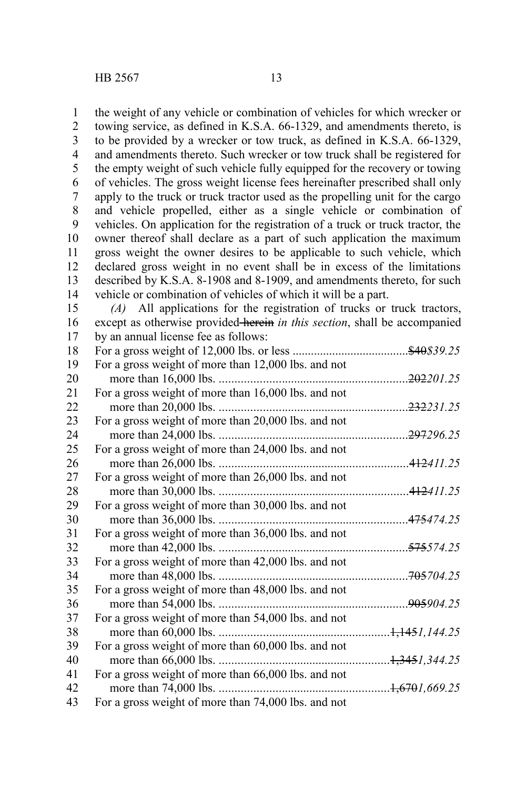the weight of any vehicle or combination of vehicles for which wrecker or towing service, as defined in K.S.A. 66-1329, and amendments thereto, is to be provided by a wrecker or tow truck, as defined in K.S.A. 66-1329, and amendments thereto. Such wrecker or tow truck shall be registered for the empty weight of such vehicle fully equipped for the recovery or towing of vehicles. The gross weight license fees hereinafter prescribed shall only apply to the truck or truck tractor used as the propelling unit for the cargo and vehicle propelled, either as a single vehicle or combination of vehicles. On application for the registration of a truck or truck tractor, the owner thereof shall declare as a part of such application the maximum gross weight the owner desires to be applicable to such vehicle, which declared gross weight in no event shall be in excess of the limitations described by K.S.A. 8-1908 and 8-1909, and amendments thereto, for such vehicle or combination of vehicles of which it will be a part. 1 2 3 4 5 6 7 8 9 10 11 12 13 14

*(A)* All applications for the registration of trucks or truck tractors, except as otherwise provided herein *in this section*, shall be accompanied by an annual license fee as follows: 15 16 17

| 18 |                                                     | \$40\$39.25             |
|----|-----------------------------------------------------|-------------------------|
| 19 | For a gross weight of more than 12,000 lbs. and not |                         |
| 20 |                                                     | <del>202</del> 201.25   |
| 21 | For a gross weight of more than 16,000 lbs. and not |                         |
| 22 |                                                     | . <del>232</del> 231.25 |
| 23 | For a gross weight of more than 20,000 lbs. and not |                         |
| 24 |                                                     | <del>297</del> 296.25   |
| 25 | For a gross weight of more than 24,000 lbs. and not |                         |
| 26 |                                                     | .412411.25              |
| 27 | For a gross weight of more than 26,000 lbs. and not |                         |
| 28 |                                                     | . <del>412</del> 411.25 |
| 29 | For a gross weight of more than 30,000 lbs. and not |                         |
| 30 |                                                     |                         |
| 31 | For a gross weight of more than 36,000 lbs. and not |                         |
| 32 |                                                     | <del>575</del> 574.25.  |
| 33 | For a gross weight of more than 42,000 lbs. and not |                         |
| 34 |                                                     |                         |
| 35 | For a gross weight of more than 48,000 lbs. and not |                         |
| 36 |                                                     | <del>905</del> 904.25   |
| 37 | For a gross weight of more than 54,000 lbs. and not |                         |
| 38 |                                                     |                         |
| 39 | For a gross weight of more than 60,000 lbs. and not |                         |
| 40 |                                                     |                         |
| 41 | For a gross weight of more than 66,000 lbs. and not |                         |
| 42 |                                                     |                         |
| 43 | For a gross weight of more than 74,000 lbs. and not |                         |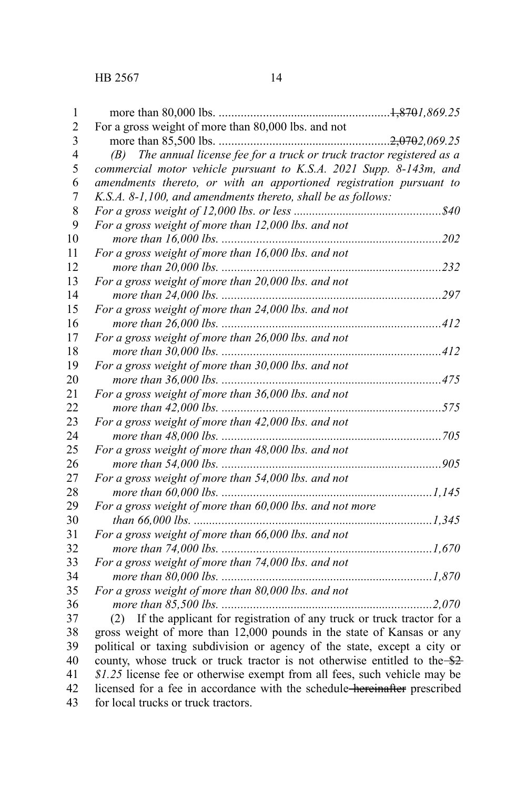| 1              |                                                                                                                                                   |  |
|----------------|---------------------------------------------------------------------------------------------------------------------------------------------------|--|
| $\overline{2}$ | For a gross weight of more than 80,000 lbs. and not                                                                                               |  |
| 3              |                                                                                                                                                   |  |
| $\overline{4}$ | (B) The annual license fee for a truck or truck tractor registered as a                                                                           |  |
| 5              | commercial motor vehicle pursuant to K.S.A. 2021 Supp. 8-143m, and                                                                                |  |
| 6              | amendments thereto, or with an apportioned registration pursuant to                                                                               |  |
| 7              | K.S.A. 8-1,100, and amendments thereto, shall be as follows:                                                                                      |  |
| 8              |                                                                                                                                                   |  |
| 9              | For a gross weight of more than 12,000 lbs. and not                                                                                               |  |
| 10             |                                                                                                                                                   |  |
| 11             | For a gross weight of more than 16,000 lbs. and not                                                                                               |  |
| 12             |                                                                                                                                                   |  |
| 13             | For a gross weight of more than 20,000 lbs. and not                                                                                               |  |
| 14             |                                                                                                                                                   |  |
| 15             | For a gross weight of more than 24,000 lbs. and not                                                                                               |  |
| 16             |                                                                                                                                                   |  |
| 17             | For a gross weight of more than 26,000 lbs. and not                                                                                               |  |
| 18             |                                                                                                                                                   |  |
| 19             | For a gross weight of more than 30,000 lbs. and not                                                                                               |  |
| 20             |                                                                                                                                                   |  |
| 21             | For a gross weight of more than 36,000 lbs. and not                                                                                               |  |
| 22             |                                                                                                                                                   |  |
| 23             | For a gross weight of more than 42,000 lbs. and not                                                                                               |  |
| 24             |                                                                                                                                                   |  |
| 25             | For a gross weight of more than 48,000 lbs. and not                                                                                               |  |
| 26             |                                                                                                                                                   |  |
| 27             | For a gross weight of more than 54,000 lbs. and not                                                                                               |  |
| 28             |                                                                                                                                                   |  |
| 29             | For a gross weight of more than 60,000 lbs. and not more                                                                                          |  |
| 30             |                                                                                                                                                   |  |
| 31             | For a gross weight of more than 66,000 lbs. and not                                                                                               |  |
| 32             |                                                                                                                                                   |  |
| 33             | For a gross weight of more than 74,000 lbs. and not                                                                                               |  |
| 34             | For a gross weight of more than 80,000 lbs. and not                                                                                               |  |
| 35             |                                                                                                                                                   |  |
| 36             |                                                                                                                                                   |  |
| 37<br>38       | (2) If the applicant for registration of any truck or truck tractor for a                                                                         |  |
| 39             | gross weight of more than 12,000 pounds in the state of Kansas or any<br>political or taxing subdivision or agency of the state, except a city or |  |
| 40             | county, whose truck or truck tractor is not otherwise entitled to the \$2-                                                                        |  |
| 41             | \$1.25 license fee or otherwise exempt from all fees, such vehicle may be                                                                         |  |
| 42             | licensed for a fee in accordance with the schedule-hereinafter prescribed                                                                         |  |
| 43             | for local trucks or truck tractors.                                                                                                               |  |
|                |                                                                                                                                                   |  |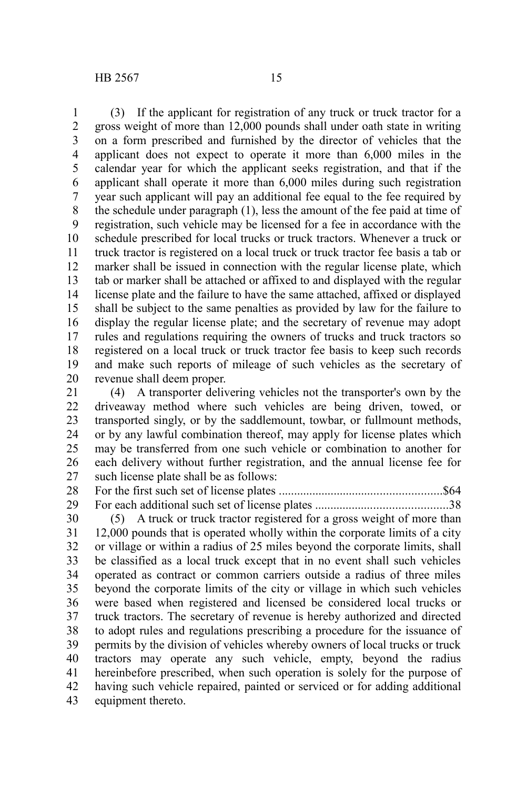(3) If the applicant for registration of any truck or truck tractor for a gross weight of more than 12,000 pounds shall under oath state in writing on a form prescribed and furnished by the director of vehicles that the applicant does not expect to operate it more than 6,000 miles in the calendar year for which the applicant seeks registration, and that if the applicant shall operate it more than 6,000 miles during such registration year such applicant will pay an additional fee equal to the fee required by the schedule under paragraph (1), less the amount of the fee paid at time of registration, such vehicle may be licensed for a fee in accordance with the schedule prescribed for local trucks or truck tractors. Whenever a truck or truck tractor is registered on a local truck or truck tractor fee basis a tab or marker shall be issued in connection with the regular license plate, which tab or marker shall be attached or affixed to and displayed with the regular license plate and the failure to have the same attached, affixed or displayed shall be subject to the same penalties as provided by law for the failure to display the regular license plate; and the secretary of revenue may adopt rules and regulations requiring the owners of trucks and truck tractors so registered on a local truck or truck tractor fee basis to keep such records and make such reports of mileage of such vehicles as the secretary of revenue shall deem proper. 1 2 3 4 5 6 7 8 9 10 11 12 13 14 15 16 17 18 19 20

(4) A transporter delivering vehicles not the transporter's own by the driveaway method where such vehicles are being driven, towed, or transported singly, or by the saddlemount, towbar, or fullmount methods, or by any lawful combination thereof, may apply for license plates which may be transferred from one such vehicle or combination to another for each delivery without further registration, and the annual license fee for such license plate shall be as follows: 21 22 23 24 25 26 27

For the first such set of license plates .....................................................\$64 For each additional such set of license plates ...........................................38 28 29

(5) A truck or truck tractor registered for a gross weight of more than 12,000 pounds that is operated wholly within the corporate limits of a city or village or within a radius of 25 miles beyond the corporate limits, shall be classified as a local truck except that in no event shall such vehicles operated as contract or common carriers outside a radius of three miles beyond the corporate limits of the city or village in which such vehicles were based when registered and licensed be considered local trucks or truck tractors. The secretary of revenue is hereby authorized and directed to adopt rules and regulations prescribing a procedure for the issuance of permits by the division of vehicles whereby owners of local trucks or truck tractors may operate any such vehicle, empty, beyond the radius hereinbefore prescribed, when such operation is solely for the purpose of having such vehicle repaired, painted or serviced or for adding additional equipment thereto. 30 31 32 33 34 35 36 37 38 39 40 41 42 43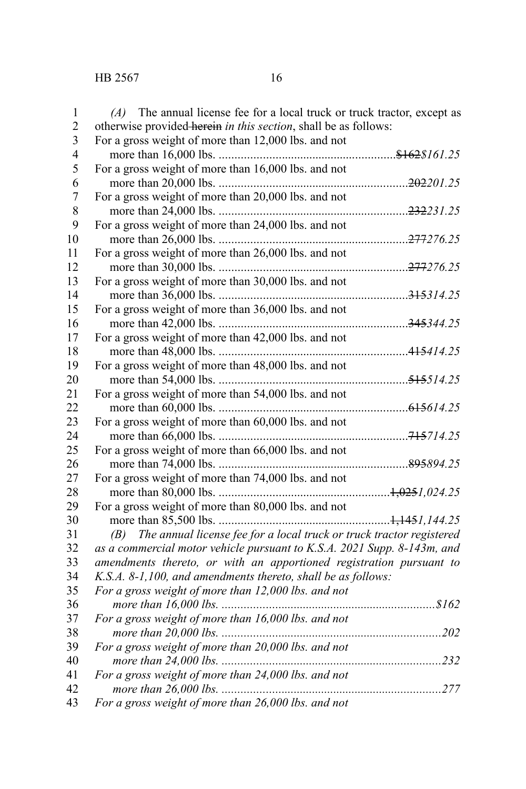| 1              | $(A)$ The annual license fee for a local truck or truck tractor, except as |  |
|----------------|----------------------------------------------------------------------------|--|
| $\overline{c}$ | otherwise provided herein in this section, shall be as follows:            |  |
| 3              | For a gross weight of more than 12,000 lbs. and not                        |  |
| $\overline{4}$ |                                                                            |  |
| 5              | For a gross weight of more than 16,000 lbs. and not                        |  |
| 6              |                                                                            |  |
| $\overline{7}$ | For a gross weight of more than 20,000 lbs. and not                        |  |
| 8              |                                                                            |  |
| 9              | For a gross weight of more than 24,000 lbs. and not                        |  |
| 10             |                                                                            |  |
| 11             | For a gross weight of more than 26,000 lbs. and not                        |  |
| 12             |                                                                            |  |
| 13             | For a gross weight of more than 30,000 lbs. and not                        |  |
| 14             |                                                                            |  |
| 15             | For a gross weight of more than 36,000 lbs. and not                        |  |
| 16             |                                                                            |  |
| 17             | For a gross weight of more than 42,000 lbs. and not                        |  |
| 18             |                                                                            |  |
| 19             | For a gross weight of more than 48,000 lbs. and not                        |  |
| 20             |                                                                            |  |
| 21             | For a gross weight of more than 54,000 lbs. and not                        |  |
| 22             |                                                                            |  |
| 23             | For a gross weight of more than 60,000 lbs. and not                        |  |
| 24             |                                                                            |  |
| 25             | For a gross weight of more than 66,000 lbs. and not                        |  |
| 26             |                                                                            |  |
| 27             | For a gross weight of more than 74,000 lbs. and not                        |  |
| 28             |                                                                            |  |
| 29             | For a gross weight of more than 80,000 lbs. and not                        |  |
| 30             |                                                                            |  |
| 31             | (B) The annual license fee for a local truck or truck tractor registered   |  |
| 32             | as a commercial motor vehicle pursuant to K.S.A. 2021 Supp. 8-143m, and    |  |
| 33             | amendments thereto, or with an apportioned registration pursuant to        |  |
| 34             | K.S.A. 8-1,100, and amendments thereto, shall be as follows:               |  |
| 35             | For a gross weight of more than 12,000 lbs. and not                        |  |
| 36             |                                                                            |  |
| 37             | For a gross weight of more than 16,000 lbs. and not                        |  |
| 38             |                                                                            |  |
| 39             | For a gross weight of more than 20,000 lbs. and not                        |  |
| 40             |                                                                            |  |
| 41             | For a gross weight of more than 24,000 lbs. and not                        |  |
| 42             |                                                                            |  |
| 43             | For a gross weight of more than 26,000 lbs. and not                        |  |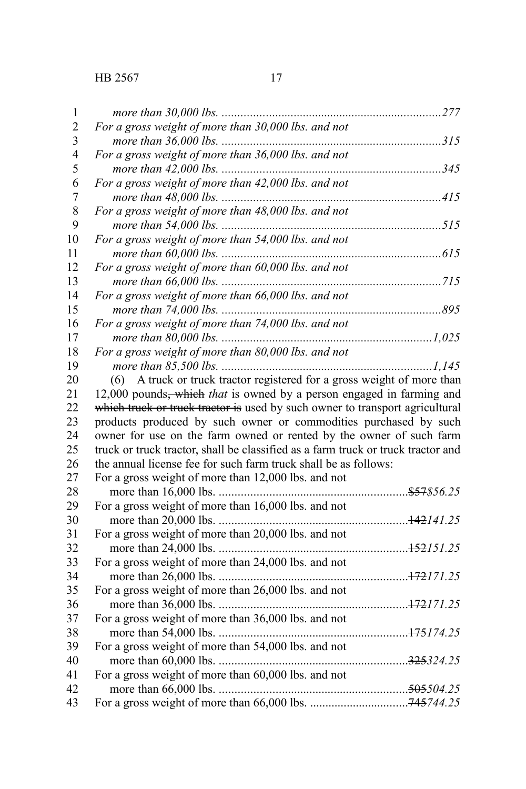| 1                |                                                                                  |  |
|------------------|----------------------------------------------------------------------------------|--|
| $\overline{2}$   | For a gross weight of more than 30,000 lbs. and not                              |  |
| 3                |                                                                                  |  |
| $\overline{4}$   | For a gross weight of more than 36,000 lbs. and not                              |  |
| 5                |                                                                                  |  |
| 6                | For a gross weight of more than 42,000 lbs. and not                              |  |
| $\boldsymbol{7}$ |                                                                                  |  |
| 8                | For a gross weight of more than 48,000 lbs. and not                              |  |
| 9                |                                                                                  |  |
| 10               | For a gross weight of more than 54,000 lbs. and not                              |  |
| 11               |                                                                                  |  |
| 12               | For a gross weight of more than 60,000 lbs. and not                              |  |
| 13               |                                                                                  |  |
| 14               | For a gross weight of more than 66,000 lbs. and not                              |  |
| 15               |                                                                                  |  |
| 16               | For a gross weight of more than 74,000 lbs. and not                              |  |
| 17               |                                                                                  |  |
| 18               | For a gross weight of more than 80,000 lbs. and not                              |  |
| 19               |                                                                                  |  |
| 20               | A truck or truck tractor registered for a gross weight of more than<br>(6)       |  |
| 21               | 12,000 pounds, which that is owned by a person engaged in farming and            |  |
| 22               | which truck or truck tractor is used by such owner to transport agricultural     |  |
| 23               | products produced by such owner or commodities purchased by such                 |  |
| 24               | owner for use on the farm owned or rented by the owner of such farm              |  |
| 25               | truck or truck tractor, shall be classified as a farm truck or truck tractor and |  |
| 26               | the annual license fee for such farm truck shall be as follows:                  |  |
| 27               | For a gross weight of more than 12,000 lbs. and not                              |  |
| 28               |                                                                                  |  |
| 29               | For a gross weight of more than 16,000 lbs. and not                              |  |
| 30               |                                                                                  |  |
| 31               | For a gross weight of more than 20,000 lbs. and not                              |  |
| 32               |                                                                                  |  |
| 33               | For a gross weight of more than 24,000 lbs. and not                              |  |
| 34               |                                                                                  |  |
| 35               | For a gross weight of more than 26,000 lbs. and not                              |  |
| 36               |                                                                                  |  |
| 37               | For a gross weight of more than 36,000 lbs. and not                              |  |
| 38               |                                                                                  |  |
| 39               | For a gross weight of more than 54,000 lbs. and not                              |  |
| 40               |                                                                                  |  |
| 41               | For a gross weight of more than 60,000 lbs. and not                              |  |
| 42               |                                                                                  |  |
| 43               |                                                                                  |  |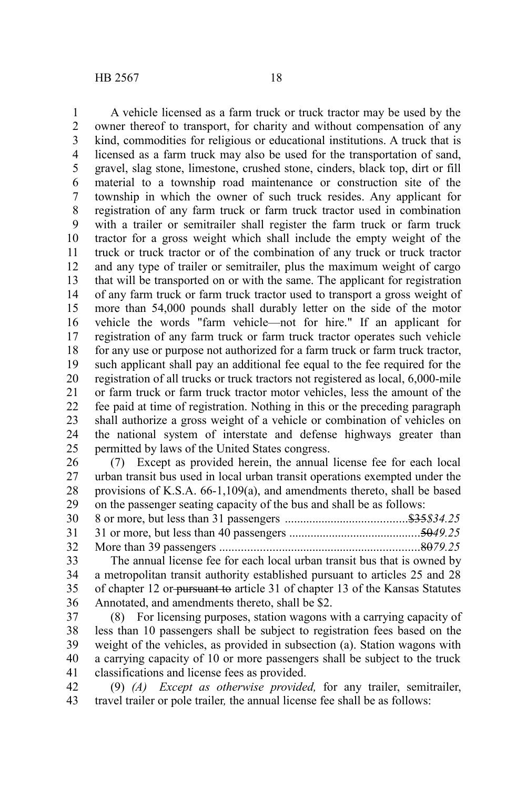A vehicle licensed as a farm truck or truck tractor may be used by the owner thereof to transport, for charity and without compensation of any kind, commodities for religious or educational institutions. A truck that is licensed as a farm truck may also be used for the transportation of sand, gravel, slag stone, limestone, crushed stone, cinders, black top, dirt or fill material to a township road maintenance or construction site of the township in which the owner of such truck resides. Any applicant for registration of any farm truck or farm truck tractor used in combination with a trailer or semitrailer shall register the farm truck or farm truck tractor for a gross weight which shall include the empty weight of the truck or truck tractor or of the combination of any truck or truck tractor and any type of trailer or semitrailer, plus the maximum weight of cargo that will be transported on or with the same. The applicant for registration of any farm truck or farm truck tractor used to transport a gross weight of more than 54,000 pounds shall durably letter on the side of the motor vehicle the words "farm vehicle—not for hire." If an applicant for registration of any farm truck or farm truck tractor operates such vehicle for any use or purpose not authorized for a farm truck or farm truck tractor, such applicant shall pay an additional fee equal to the fee required for the registration of all trucks or truck tractors not registered as local, 6,000-mile or farm truck or farm truck tractor motor vehicles, less the amount of the fee paid at time of registration. Nothing in this or the preceding paragraph shall authorize a gross weight of a vehicle or combination of vehicles on the national system of interstate and defense highways greater than permitted by laws of the United States congress. 1 2 3 4 5 6 7 8 9 10 11 12 13 14 15 16 17 18 19 20 21 22 23 24 25

(7) Except as provided herein, the annual license fee for each local urban transit bus used in local urban transit operations exempted under the provisions of K.S.A. 66-1,109(a), and amendments thereto, shall be based on the passenger seating capacity of the bus and shall be as follows: 26 27 28 29

8 or more, but less than 31 passengers ........................................\$35*\$34.25* 31 or more, but less than 40 passengers ...........................................50*49.25* More than 39 passengers .................................................................80*79.25* 30 31 32

The annual license fee for each local urban transit bus that is owned by a metropolitan transit authority established pursuant to articles 25 and 28 of chapter 12 or pursuant to article 31 of chapter 13 of the Kansas Statutes Annotated, and amendments thereto, shall be \$2. 33 34 35 36

(8) For licensing purposes, station wagons with a carrying capacity of less than 10 passengers shall be subject to registration fees based on the weight of the vehicles, as provided in subsection (a). Station wagons with a carrying capacity of 10 or more passengers shall be subject to the truck classifications and license fees as provided. 37 38 39 40 41

(9) *(A) Except as otherwise provided,* for any trailer, semitrailer, travel trailer or pole trailer*,* the annual license fee shall be as follows: 42 43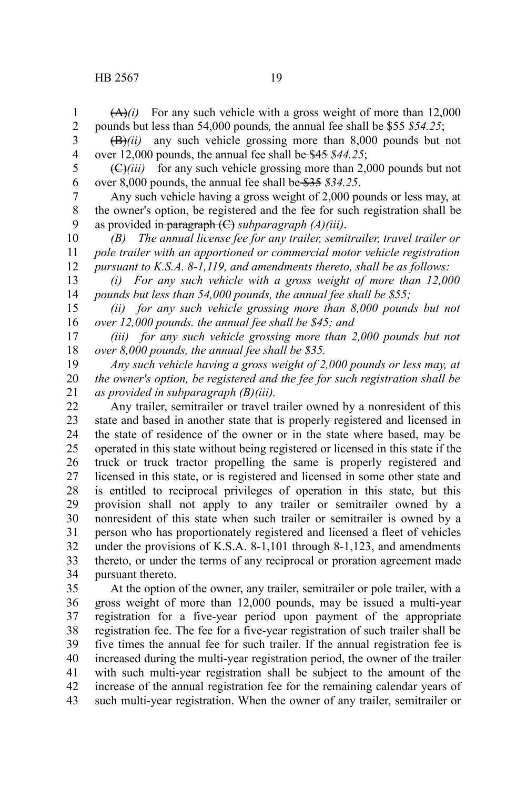$(A)(i)$  For any such vehicle with a gross weight of more than 12,000 pounds but less than 54,000 pounds*,* the annual fee shall be \$55 *\$54.25*; 1 2

(B)*(ii)* any such vehicle grossing more than 8,000 pounds but not over 12,000 pounds, the annual fee shall be \$45 *\$44.25*; 3 4

 $(\bigoplus$ *(iii)* for any such vehicle grossing more than 2,000 pounds but not over 8,000 pounds, the annual fee shall be \$35 *\$34.25*. 5 6

Any such vehicle having a gross weight of 2,000 pounds or less may, at the owner's option, be registered and the fee for such registration shall be as provided in paragraph (C) *subparagraph (A)(iii)*. 7 8 9

*(B) The annual license fee for any trailer, semitrailer, travel trailer or pole trailer with an apportioned or commercial motor vehicle registration pursuant to K.S.A. 8-1,119, and amendments thereto, shall be as follows:* 10 11 12

*(i) For any such vehicle with a gross weight of more than 12,000 pounds but less than 54,000 pounds, the annual fee shall be \$55;* 13 14

*(ii) for any such vehicle grossing more than 8,000 pounds but not over 12,000 pounds. the annual fee shall be \$45; and* 15 16

*(iii) for any such vehicle grossing more than 2,000 pounds but not over 8,000 pounds, the annual fee shall be \$35.* 17 18

*Any such vehicle having a gross weight of 2,000 pounds or less may, at the owner's option, be registered and the fee for such registration shall be as provided in subparagraph (B)(iii).* 19 20 21

Any trailer, semitrailer or travel trailer owned by a nonresident of this state and based in another state that is properly registered and licensed in the state of residence of the owner or in the state where based, may be operated in this state without being registered or licensed in this state if the truck or truck tractor propelling the same is properly registered and licensed in this state, or is registered and licensed in some other state and is entitled to reciprocal privileges of operation in this state, but this provision shall not apply to any trailer or semitrailer owned by a nonresident of this state when such trailer or semitrailer is owned by a person who has proportionately registered and licensed a fleet of vehicles under the provisions of K.S.A. 8-1,101 through 8-1,123, and amendments thereto, or under the terms of any reciprocal or proration agreement made pursuant thereto. 22 23 24 25 26 27 28 29 30 31 32 33 34

At the option of the owner, any trailer, semitrailer or pole trailer, with a gross weight of more than 12,000 pounds, may be issued a multi-year registration for a five-year period upon payment of the appropriate registration fee. The fee for a five-year registration of such trailer shall be five times the annual fee for such trailer. If the annual registration fee is increased during the multi-year registration period, the owner of the trailer with such multi-year registration shall be subject to the amount of the increase of the annual registration fee for the remaining calendar years of such multi-year registration. When the owner of any trailer, semitrailer or 35 36 37 38 39 40 41 42 43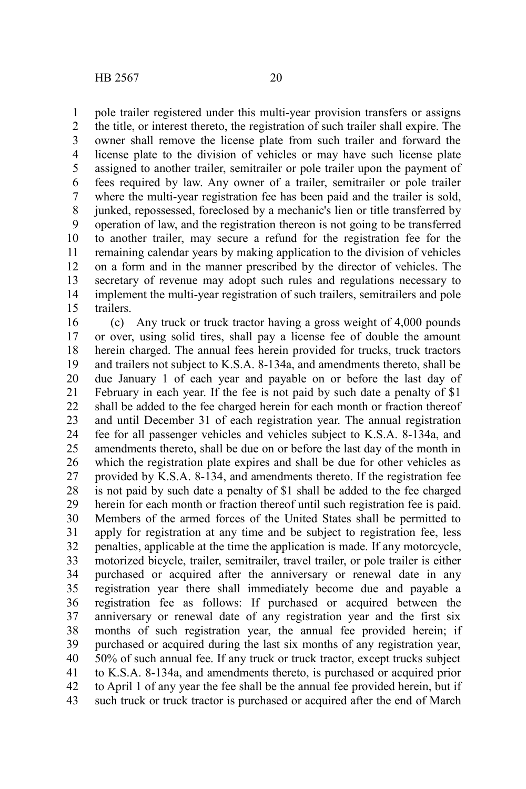pole trailer registered under this multi-year provision transfers or assigns the title, or interest thereto, the registration of such trailer shall expire. The owner shall remove the license plate from such trailer and forward the license plate to the division of vehicles or may have such license plate assigned to another trailer, semitrailer or pole trailer upon the payment of fees required by law. Any owner of a trailer, semitrailer or pole trailer where the multi-year registration fee has been paid and the trailer is sold, junked, repossessed, foreclosed by a mechanic's lien or title transferred by operation of law, and the registration thereon is not going to be transferred to another trailer, may secure a refund for the registration fee for the remaining calendar years by making application to the division of vehicles on a form and in the manner prescribed by the director of vehicles. The secretary of revenue may adopt such rules and regulations necessary to implement the multi-year registration of such trailers, semitrailers and pole trailers. 1 2 3 4 5 6 7 8 9 10 11 12 13 14 15

(c) Any truck or truck tractor having a gross weight of 4,000 pounds or over, using solid tires, shall pay a license fee of double the amount herein charged. The annual fees herein provided for trucks, truck tractors and trailers not subject to K.S.A. 8-134a, and amendments thereto, shall be due January 1 of each year and payable on or before the last day of February in each year. If the fee is not paid by such date a penalty of \$1 shall be added to the fee charged herein for each month or fraction thereof and until December 31 of each registration year. The annual registration fee for all passenger vehicles and vehicles subject to K.S.A. 8-134a, and amendments thereto, shall be due on or before the last day of the month in which the registration plate expires and shall be due for other vehicles as provided by K.S.A. 8-134, and amendments thereto. If the registration fee is not paid by such date a penalty of \$1 shall be added to the fee charged herein for each month or fraction thereof until such registration fee is paid. Members of the armed forces of the United States shall be permitted to apply for registration at any time and be subject to registration fee, less penalties, applicable at the time the application is made. If any motorcycle, motorized bicycle, trailer, semitrailer, travel trailer, or pole trailer is either purchased or acquired after the anniversary or renewal date in any registration year there shall immediately become due and payable a registration fee as follows: If purchased or acquired between the anniversary or renewal date of any registration year and the first six months of such registration year, the annual fee provided herein; if purchased or acquired during the last six months of any registration year, 50% of such annual fee. If any truck or truck tractor, except trucks subject to K.S.A. 8-134a, and amendments thereto, is purchased or acquired prior to April 1 of any year the fee shall be the annual fee provided herein, but if such truck or truck tractor is purchased or acquired after the end of March 16 17 18 19 20 21 22 23 24 25 26 27 28 29 30 31 32 33 34 35 36 37 38 39 40 41 42 43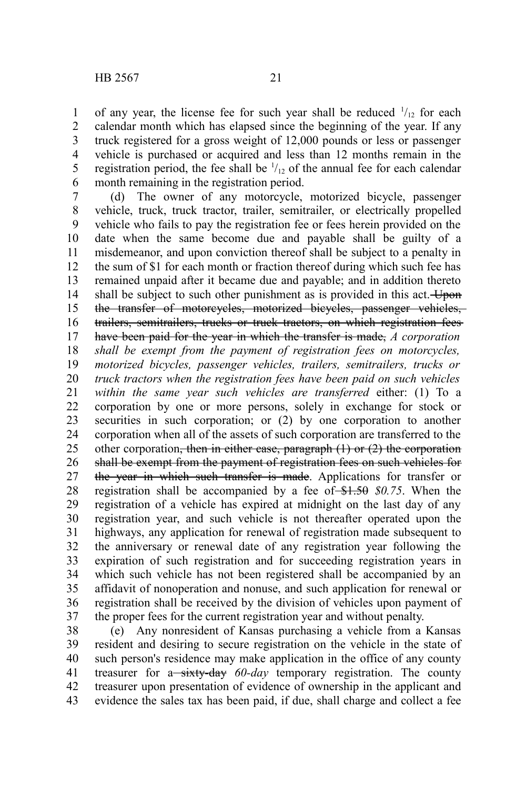of any year, the license fee for such year shall be reduced  $\frac{1}{12}$  for each calendar month which has elapsed since the beginning of the year. If any truck registered for a gross weight of 12,000 pounds or less or passenger vehicle is purchased or acquired and less than 12 months remain in the registration period, the fee shall be  $\frac{1}{12}$  of the annual fee for each calendar

month remaining in the registration period. (d) The owner of any motorcycle, motorized bicycle, passenger vehicle, truck, truck tractor, trailer, semitrailer, or electrically propelled vehicle who fails to pay the registration fee or fees herein provided on the date when the same become due and payable shall be guilty of a misdemeanor, and upon conviction thereof shall be subject to a penalty in the sum of \$1 for each month or fraction thereof during which such fee has remained unpaid after it became due and payable; and in addition thereto shall be subject to such other punishment as is provided in this act. Upon the transfer of motorcycles, motorized bicycles, passenger vehicles, trailers, semitrailers, trucks or truck tractors, on which registration fees have been paid for the year in which the transfer is made, *A corporation shall be exempt from the payment of registration fees on motorcycles, motorized bicycles, passenger vehicles, trailers, semitrailers, trucks or truck tractors when the registration fees have been paid on such vehicles within the same year such vehicles are transferred* either: (1) To a corporation by one or more persons, solely in exchange for stock or securities in such corporation; or  $(2)$  by one corporation to another corporation when all of the assets of such corporation are transferred to the other corporation, then in either case, paragraph  $(1)$  or  $(2)$  the corporation shall be exempt from the payment of registration fees on such vehicles for the year in which such transfer is made. Applications for transfer or registration shall be accompanied by a fee of \$1.50 \$0.75. When the registration of a vehicle has expired at midnight on the last day of any registration year, and such vehicle is not thereafter operated upon the highways, any application for renewal of registration made subsequent to the anniversary or renewal date of any registration year following the expiration of such registration and for succeeding registration years in which such vehicle has not been registered shall be accompanied by an affidavit of nonoperation and nonuse, and such application for renewal or registration shall be received by the division of vehicles upon payment of the proper fees for the current registration year and without penalty. 6 7 8 9 10 11 12 13 14 15 16 17 18 19 20 21 22 23 24 25 26 27 28 29 30 31 32 33 34 35 36 37

(e) Any nonresident of Kansas purchasing a vehicle from a Kansas resident and desiring to secure registration on the vehicle in the state of such person's residence may make application in the office of any county treasurer for a<del> sixty-day</del> 60-day temporary registration. The county treasurer upon presentation of evidence of ownership in the applicant and evidence the sales tax has been paid, if due, shall charge and collect a fee 38 39 40 41 42 43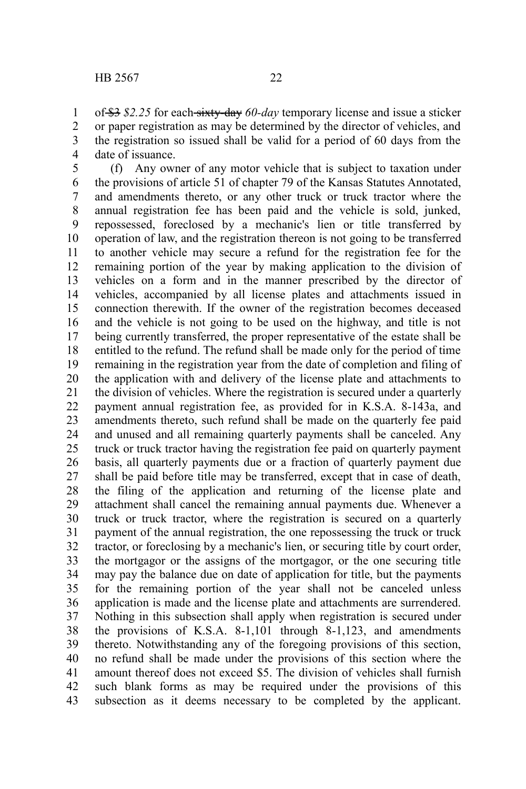of \$3 *\$2.25* for each sixty-day *60-day* temporary license and issue a sticker or paper registration as may be determined by the director of vehicles, and the registration so issued shall be valid for a period of 60 days from the date of issuance. 1 2 3 4

(f) Any owner of any motor vehicle that is subject to taxation under the provisions of article 51 of chapter 79 of the Kansas Statutes Annotated, and amendments thereto, or any other truck or truck tractor where the annual registration fee has been paid and the vehicle is sold, junked, repossessed, foreclosed by a mechanic's lien or title transferred by operation of law, and the registration thereon is not going to be transferred to another vehicle may secure a refund for the registration fee for the remaining portion of the year by making application to the division of vehicles on a form and in the manner prescribed by the director of vehicles, accompanied by all license plates and attachments issued in connection therewith. If the owner of the registration becomes deceased and the vehicle is not going to be used on the highway, and title is not being currently transferred, the proper representative of the estate shall be entitled to the refund. The refund shall be made only for the period of time remaining in the registration year from the date of completion and filing of the application with and delivery of the license plate and attachments to the division of vehicles. Where the registration is secured under a quarterly payment annual registration fee, as provided for in K.S.A. 8-143a, and amendments thereto, such refund shall be made on the quarterly fee paid and unused and all remaining quarterly payments shall be canceled. Any truck or truck tractor having the registration fee paid on quarterly payment basis, all quarterly payments due or a fraction of quarterly payment due shall be paid before title may be transferred, except that in case of death, the filing of the application and returning of the license plate and attachment shall cancel the remaining annual payments due. Whenever a truck or truck tractor, where the registration is secured on a quarterly payment of the annual registration, the one repossessing the truck or truck tractor, or foreclosing by a mechanic's lien, or securing title by court order, the mortgagor or the assigns of the mortgagor, or the one securing title may pay the balance due on date of application for title, but the payments for the remaining portion of the year shall not be canceled unless application is made and the license plate and attachments are surrendered. Nothing in this subsection shall apply when registration is secured under the provisions of K.S.A. 8-1,101 through 8-1,123, and amendments thereto. Notwithstanding any of the foregoing provisions of this section, no refund shall be made under the provisions of this section where the amount thereof does not exceed \$5. The division of vehicles shall furnish such blank forms as may be required under the provisions of this subsection as it deems necessary to be completed by the applicant. 5 6 7 8 9 10 11 12 13 14 15 16 17 18 19 20 21 22 23 24 25 26 27 28 29 30 31 32 33 34 35 36 37 38 39 40 41 42 43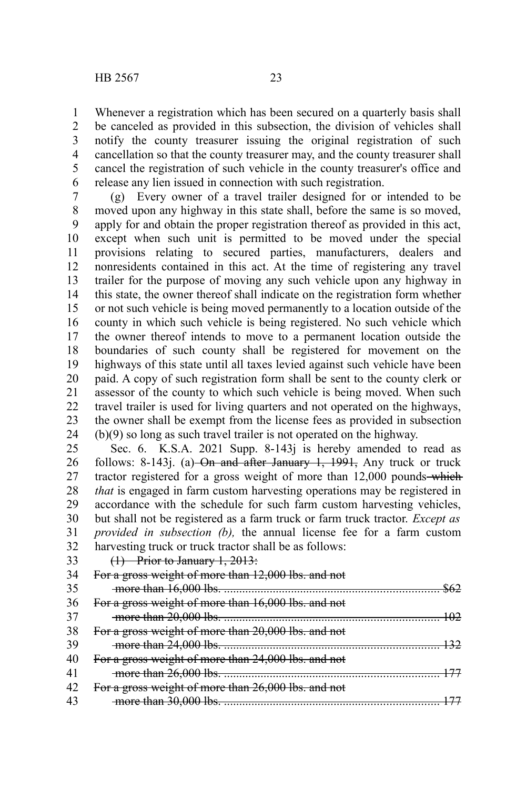Whenever a registration which has been secured on a quarterly basis shall be canceled as provided in this subsection, the division of vehicles shall notify the county treasurer issuing the original registration of such cancellation so that the county treasurer may, and the county treasurer shall cancel the registration of such vehicle in the county treasurer's office and release any lien issued in connection with such registration. 1 2 3 4 5 6

(g) Every owner of a travel trailer designed for or intended to be moved upon any highway in this state shall, before the same is so moved, apply for and obtain the proper registration thereof as provided in this act, except when such unit is permitted to be moved under the special provisions relating to secured parties, manufacturers, dealers and nonresidents contained in this act. At the time of registering any travel trailer for the purpose of moving any such vehicle upon any highway in this state, the owner thereof shall indicate on the registration form whether or not such vehicle is being moved permanently to a location outside of the county in which such vehicle is being registered. No such vehicle which the owner thereof intends to move to a permanent location outside the boundaries of such county shall be registered for movement on the highways of this state until all taxes levied against such vehicle have been paid. A copy of such registration form shall be sent to the county clerk or assessor of the county to which such vehicle is being moved. When such travel trailer is used for living quarters and not operated on the highways, the owner shall be exempt from the license fees as provided in subsection (b)(9) so long as such travel trailer is not operated on the highway. 7 8 9 10 11 12 13 14 15 16 17 18 19 20 21 22 23 24

Sec. 6. K.S.A. 2021 Supp. 8-143 is hereby amended to read as follows: 8-143j. (a) On and after January 1,  $1991$ , Any truck or truck tractor registered for a gross weight of more than 12,000 pounds—which *that* is engaged in farm custom harvesting operations may be registered in accordance with the schedule for such farm custom harvesting vehicles, but shall not be registered as a farm truck or farm truck tractor. *Except as provided in subsection (b),* the annual license fee for a farm custom harvesting truck or truck tractor shall be as follows: 25 26 27 28 29 30 31 32

33

(1) Prior to January 1, 2013:

|    | For a gross weight of more than 12,000 lbs. and not |
|----|-----------------------------------------------------|
| 35 |                                                     |
| 36 | For a gross weight of more than 16,000 lbs. and not |
| 37 |                                                     |
| 38 | For a gross weight of more than 20,000 lbs. and not |
| 39 |                                                     |
|    | For a gross weight of more than 24,000 lbs. and not |
| 41 |                                                     |
|    | For a gross weight of more than 26,000 lbs. and not |
|    |                                                     |
|    |                                                     |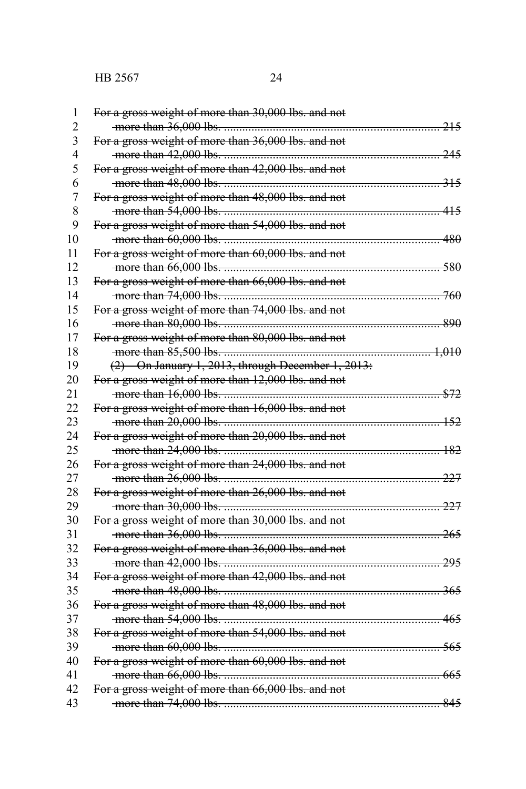| 1              | For a gross weight of more than 30,000 lbs. and not |  |
|----------------|-----------------------------------------------------|--|
| $\overline{2}$ |                                                     |  |
| 3              | For a gross weight of more than 36,000 lbs. and not |  |
| $\overline{4}$ |                                                     |  |
| 5              | For a gross weight of more than 42,000 lbs. and not |  |
| 6              |                                                     |  |
| $\overline{7}$ | For a gross weight of more than 48,000 lbs. and not |  |
| 8              |                                                     |  |
| 9              | For a gross weight of more than 54,000 lbs. and not |  |
| 10             |                                                     |  |
| 11             | For a gross weight of more than 60,000 lbs. and not |  |
| 12             |                                                     |  |
| 13             | For a gross weight of more than 66,000 lbs. and not |  |
| 14             |                                                     |  |
| 15             | For a gross weight of more than 74,000 lbs. and not |  |
| 16             |                                                     |  |
| 17             | For a gross weight of more than 80,000 lbs. and not |  |
| 18             |                                                     |  |
| 19             | $(2)$ On January 1, 2013, through December 1, 2013: |  |
| 20             | For a gross weight of more than 12,000 lbs. and not |  |
| 21             |                                                     |  |
| 22             | For a gross weight of more than 16,000 lbs. and not |  |
| 23             |                                                     |  |
| 24             | For a gross weight of more than 20,000 lbs. and not |  |
| 25             |                                                     |  |
| 26             | For a gross weight of more than 24,000 lbs. and not |  |
| 27             |                                                     |  |
| 28             | For a gross weight of more than 26,000 lbs. and not |  |
| 29             |                                                     |  |
| 30             | For a gross weight of more than 30,000 lbs. and not |  |
| 31             |                                                     |  |
| 32             | For a gross weight of more than 36,000 lbs. and not |  |
| 33             |                                                     |  |
| 34             | For a gross weight of more than 42,000 lbs. and not |  |
| 35             |                                                     |  |
| 36             | For a gross weight of more than 48,000 lbs. and not |  |
| 37             |                                                     |  |
| 38             | For a gross weight of more than 54,000 lbs. and not |  |
| 39             |                                                     |  |
| 40             | For a gross weight of more than 60,000 lbs. and not |  |
| 41             |                                                     |  |
| 42             | For a gross weight of more than 66,000 lbs. and not |  |
| 43             |                                                     |  |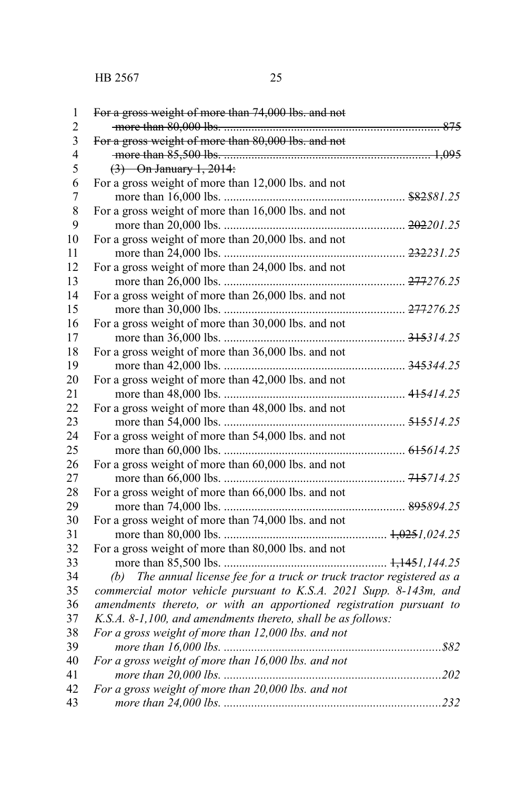| $\,1$                   | For a gross weight of more than 74,000 lbs. and not                        |
|-------------------------|----------------------------------------------------------------------------|
| $\overline{c}$          |                                                                            |
| $\overline{\mathbf{3}}$ | For a gross weight of more than 80,000 lbs. and not                        |
| $\overline{4}$          |                                                                            |
| 5                       | $(3)$ On January 1, 2014:                                                  |
| 6                       | For a gross weight of more than 12,000 lbs. and not                        |
| $\overline{7}$          |                                                                            |
| $\,$ 8 $\,$             | For a gross weight of more than 16,000 lbs. and not                        |
| 9                       |                                                                            |
| 10                      | For a gross weight of more than 20,000 lbs. and not                        |
| 11                      |                                                                            |
| 12                      | For a gross weight of more than 24,000 lbs. and not                        |
| 13                      |                                                                            |
| 14                      | For a gross weight of more than 26,000 lbs. and not                        |
| 15                      |                                                                            |
| 16                      | For a gross weight of more than 30,000 lbs. and not                        |
| 17                      |                                                                            |
| 18                      | For a gross weight of more than 36,000 lbs. and not                        |
| 19                      |                                                                            |
| 20                      | For a gross weight of more than 42,000 lbs. and not                        |
| 21                      |                                                                            |
| 22                      | For a gross weight of more than 48,000 lbs. and not                        |
| 23                      |                                                                            |
| 24                      | For a gross weight of more than 54,000 lbs. and not                        |
| 25                      |                                                                            |
| 26                      | For a gross weight of more than 60,000 lbs. and not                        |
| 27                      |                                                                            |
| 28                      | For a gross weight of more than 66,000 lbs. and not                        |
| 29                      |                                                                            |
| 30                      | For a gross weight of more than 74,000 lbs. and not                        |
| 31                      |                                                                            |
| 32                      | For a gross weight of more than 80,000 lbs. and not                        |
| 33                      |                                                                            |
| 34                      | The annual license fee for a truck or truck tractor registered as a<br>(b) |
| 35                      | commercial motor vehicle pursuant to K.S.A. 2021 Supp. 8-143m, and         |
| 36                      | amendments thereto, or with an apportioned registration pursuant to        |
| 37                      | K.S.A. 8-1,100, and amendments thereto, shall be as follows:               |
| 38                      | For a gross weight of more than 12,000 lbs. and not                        |
| 39                      |                                                                            |
| 40                      | For a gross weight of more than 16,000 lbs. and not                        |
| 41                      |                                                                            |
| 42                      | For a gross weight of more than 20,000 lbs. and not                        |
| 43                      |                                                                            |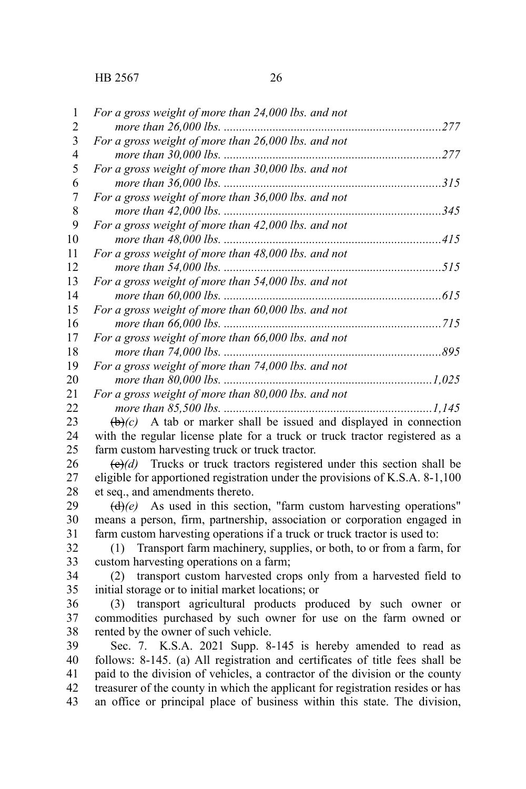1 2  $\mathbf{a}$ 

|    | $1 \circ i \circ j \circ j \circ k \circ k \circ k \circ j \circ l \circ l \circ k \circ l \circ k \circ l \circ j \circ k \circ k \circ l \circ l$ |        |
|----|-----------------------------------------------------------------------------------------------------------------------------------------------------|--------|
| 4  |                                                                                                                                                     | 277    |
| 5  | For a gross weight of more than 30,000 lbs. and not                                                                                                 |        |
| 6  |                                                                                                                                                     | 315    |
| 7  | For a gross weight of more than 36,000 lbs. and not                                                                                                 |        |
| 8  |                                                                                                                                                     | 345    |
| 9  | For a gross weight of more than 42,000 lbs. and not                                                                                                 |        |
| 10 |                                                                                                                                                     | .415   |
| 11 | For a gross weight of more than 48,000 lbs. and not                                                                                                 |        |
| 12 | more than 54,000 lbs.                                                                                                                               | 515    |
| 13 | For a gross weight of more than 54,000 lbs. and not                                                                                                 |        |
| 14 | more than $60,000$ lbs.                                                                                                                             | 615    |
| 15 | For a gross weight of more than 60,000 lbs. and not                                                                                                 |        |
| 16 |                                                                                                                                                     | 715    |
| 17 | For a gross weight of more than 66,000 lbs. and not                                                                                                 |        |
| 18 |                                                                                                                                                     | 895    |
| 19 | For a gross weight of more than 74,000 lbs. and not                                                                                                 |        |
| 20 |                                                                                                                                                     | 1,025  |
| 21 | For a gross weight of more than 80,000 lbs. and not                                                                                                 |        |
| 22 |                                                                                                                                                     | .1,145 |
|    |                                                                                                                                                     |        |

 $\left(\frac{b}{c}\right)$  A tab or marker shall be issued and displayed in connection with the regular license plate for a truck or truck tractor registered as a farm custom harvesting truck or truck tractor. 23 24 25

 $\left(\frac{e}{e}\right)$  Trucks or truck tractors registered under this section shall be eligible for apportioned registration under the provisions of K.S.A. 8-1,100 et seq., and amendments thereto. 26 27 28

 $(d)$ (e) As used in this section, "farm custom harvesting operations" means a person, firm, partnership, association or corporation engaged in farm custom harvesting operations if a truck or truck tractor is used to: 29 30 31

(1) Transport farm machinery, supplies, or both, to or from a farm, for custom harvesting operations on a farm; 32 33

(2) transport custom harvested crops only from a harvested field to initial storage or to initial market locations; or 34 35

(3) transport agricultural products produced by such owner or commodities purchased by such owner for use on the farm owned or rented by the owner of such vehicle. 36 37 38

Sec. 7. K.S.A. 2021 Supp. 8-145 is hereby amended to read as follows: 8-145. (a) All registration and certificates of title fees shall be paid to the division of vehicles, a contractor of the division or the county treasurer of the county in which the applicant for registration resides or has an office or principal place of business within this state. The division, 39 40 41 42 43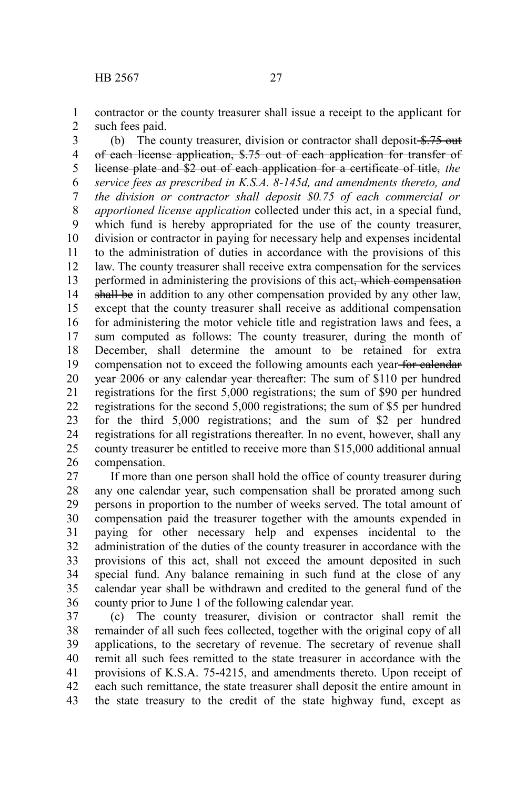contractor or the county treasurer shall issue a receipt to the applicant for such fees paid. 1 2

(b) The county treasurer, division or contractor shall deposit  $\frac{275}{275}$  out of each license application, \$.75 out of each application for transfer of license plate and \$2 out of each application for a certificate of title, *the service fees as prescribed in K.S.A. 8-145d, and amendments thereto, and the division or contractor shall deposit \$0.75 of each commercial or apportioned license application* collected under this act, in a special fund, which fund is hereby appropriated for the use of the county treasurer, division or contractor in paying for necessary help and expenses incidental to the administration of duties in accordance with the provisions of this law. The county treasurer shall receive extra compensation for the services performed in administering the provisions of this act, which compensation shall be in addition to any other compensation provided by any other law, except that the county treasurer shall receive as additional compensation for administering the motor vehicle title and registration laws and fees, a sum computed as follows: The county treasurer, during the month of December, shall determine the amount to be retained for extra compensation not to exceed the following amounts each year for calendar year 2006 or any calendar year thereafter: The sum of \$110 per hundred registrations for the first 5,000 registrations; the sum of \$90 per hundred registrations for the second 5,000 registrations; the sum of \$5 per hundred for the third 5,000 registrations; and the sum of \$2 per hundred registrations for all registrations thereafter. In no event, however, shall any county treasurer be entitled to receive more than \$15,000 additional annual compensation. 3 4 5 6 7 8 9 10 11 12 13 14 15 16 17 18 19 20 21 22 23 24 25 26

If more than one person shall hold the office of county treasurer during any one calendar year, such compensation shall be prorated among such persons in proportion to the number of weeks served. The total amount of compensation paid the treasurer together with the amounts expended in paying for other necessary help and expenses incidental to the administration of the duties of the county treasurer in accordance with the provisions of this act, shall not exceed the amount deposited in such special fund. Any balance remaining in such fund at the close of any calendar year shall be withdrawn and credited to the general fund of the county prior to June 1 of the following calendar year. 27 28 29 30 31 32 33 34 35 36

(c) The county treasurer, division or contractor shall remit the remainder of all such fees collected, together with the original copy of all applications, to the secretary of revenue. The secretary of revenue shall remit all such fees remitted to the state treasurer in accordance with the provisions of K.S.A. 75-4215, and amendments thereto. Upon receipt of each such remittance, the state treasurer shall deposit the entire amount in the state treasury to the credit of the state highway fund, except as 37 38 39 40 41 42 43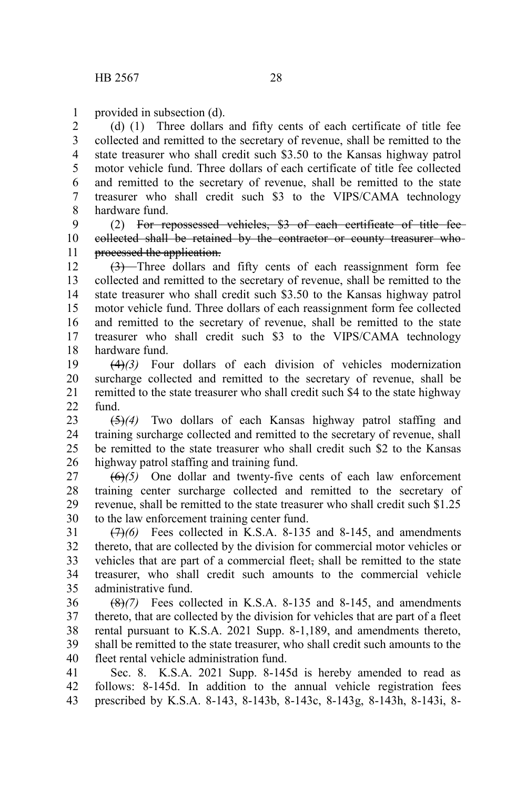provided in subsection (d). 1

(d) (1) Three dollars and fifty cents of each certificate of title fee collected and remitted to the secretary of revenue, shall be remitted to the state treasurer who shall credit such \$3.50 to the Kansas highway patrol motor vehicle fund. Three dollars of each certificate of title fee collected and remitted to the secretary of revenue, shall be remitted to the state treasurer who shall credit such \$3 to the VIPS/CAMA technology hardware fund. 2 3 4 5 6 7 8

(2) For repossessed vehicles, \$3 of each certificate of title fee collected shall be retained by the contractor or county treasurer who processed the application. 9 10 11

 $(3)$ —Three dollars and fifty cents of each reassignment form fee collected and remitted to the secretary of revenue, shall be remitted to the state treasurer who shall credit such \$3.50 to the Kansas highway patrol motor vehicle fund. Three dollars of each reassignment form fee collected and remitted to the secretary of revenue, shall be remitted to the state treasurer who shall credit such \$3 to the VIPS/CAMA technology hardware fund. 12 13 14 15 16 17 18

(4)*(3)* Four dollars of each division of vehicles modernization surcharge collected and remitted to the secretary of revenue, shall be remitted to the state treasurer who shall credit such \$4 to the state highway fund. 19 20 21  $22$ 

(5)*(4)* Two dollars of each Kansas highway patrol staffing and training surcharge collected and remitted to the secretary of revenue, shall be remitted to the state treasurer who shall credit such \$2 to the Kansas highway patrol staffing and training fund. 23 24 25 26

(6)*(5)* One dollar and twenty-five cents of each law enforcement training center surcharge collected and remitted to the secretary of revenue, shall be remitted to the state treasurer who shall credit such \$1.25 to the law enforcement training center fund. 27 28 29 30

(7)*(6)* Fees collected in K.S.A. 8-135 and 8-145, and amendments thereto, that are collected by the division for commercial motor vehicles or vehicles that are part of a commercial fleet, shall be remitted to the state treasurer, who shall credit such amounts to the commercial vehicle administrative fund. 31 32 33 34 35

(8)*(7)* Fees collected in K.S.A. 8-135 and 8-145, and amendments thereto, that are collected by the division for vehicles that are part of a fleet rental pursuant to K.S.A. 2021 Supp. 8-1,189, and amendments thereto, shall be remitted to the state treasurer, who shall credit such amounts to the fleet rental vehicle administration fund. 36 37 38 39 40

Sec. 8. K.S.A. 2021 Supp. 8-145d is hereby amended to read as follows: 8-145d. In addition to the annual vehicle registration fees prescribed by K.S.A. 8-143, 8-143b, 8-143c, 8-143g, 8-143h, 8-143i, 8- 41 42 43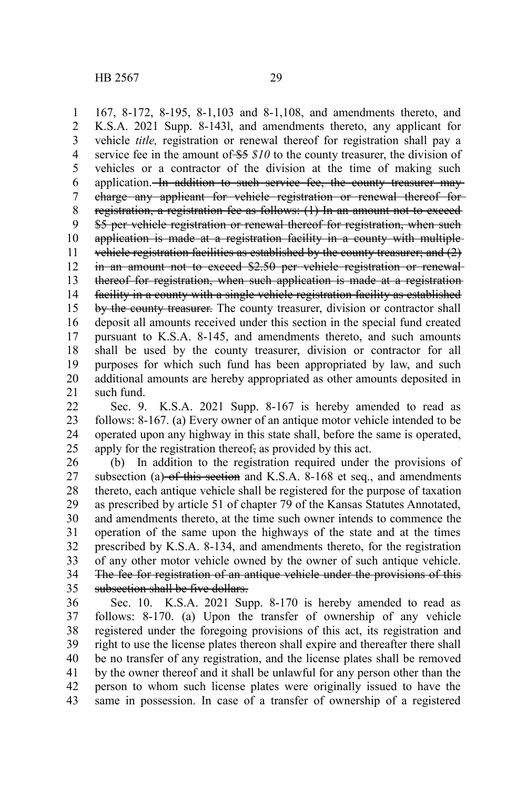167, 8-172, 8-195, 8-1,103 and 8-1,108, and amendments thereto, and K.S.A. 2021 Supp. 8-143l, and amendments thereto, any applicant for vehicle *title,* registration or renewal thereof for registration shall pay a service fee in the amount of \$5  $$10$  to the county treasurer, the division of vehicles or a contractor of the division at the time of making such application. In addition to such service fee, the county treasurer maycharge any applicant for vehicle registration or renewal thereof for registration, a registration fee as follows: (1) In an amount not to exceed \$5 per vehicle registration or renewal thereof for registration, when such application is made at a registration facility in a county with multiple vehicle registration facilities as established by the county treasurer; and (2) in an amount not to exceed \$2.50 per vehicle registration or renewal thereof for registration, when such application is made at a registration facility in a county with a single vehicle registration facility as established by the county treasurer. The county treasurer, division or contractor shall deposit all amounts received under this section in the special fund created pursuant to K.S.A. 8-145, and amendments thereto, and such amounts shall be used by the county treasurer, division or contractor for all purposes for which such fund has been appropriated by law, and such additional amounts are hereby appropriated as other amounts deposited in such fund. 1 2 3 4 5 6 7 8 9 10 11 12 13 14 15 16 17 18 19 20 21

Sec. 9. K.S.A. 2021 Supp. 8-167 is hereby amended to read as follows: 8-167. (a) Every owner of an antique motor vehicle intended to be operated upon any highway in this state shall, before the same is operated, apply for the registration thereof, as provided by this act. 22 23 24 25

(b) In addition to the registration required under the provisions of subsection (a) of this section and K.S.A. 8-168 et seq., and amendments thereto, each antique vehicle shall be registered for the purpose of taxation as prescribed by article 51 of chapter 79 of the Kansas Statutes Annotated, and amendments thereto, at the time such owner intends to commence the operation of the same upon the highways of the state and at the times prescribed by K.S.A. 8-134, and amendments thereto, for the registration of any other motor vehicle owned by the owner of such antique vehicle. The fee for registration of an antique vehicle under the provisions of this subsection shall be five dollars. 26 27 28 29 30 31 32 33 34 35

Sec. 10. K.S.A. 2021 Supp. 8-170 is hereby amended to read as follows: 8-170. (a) Upon the transfer of ownership of any vehicle registered under the foregoing provisions of this act, its registration and right to use the license plates thereon shall expire and thereafter there shall be no transfer of any registration, and the license plates shall be removed by the owner thereof and it shall be unlawful for any person other than the person to whom such license plates were originally issued to have the same in possession. In case of a transfer of ownership of a registered 36 37 38 39 40 41 42 43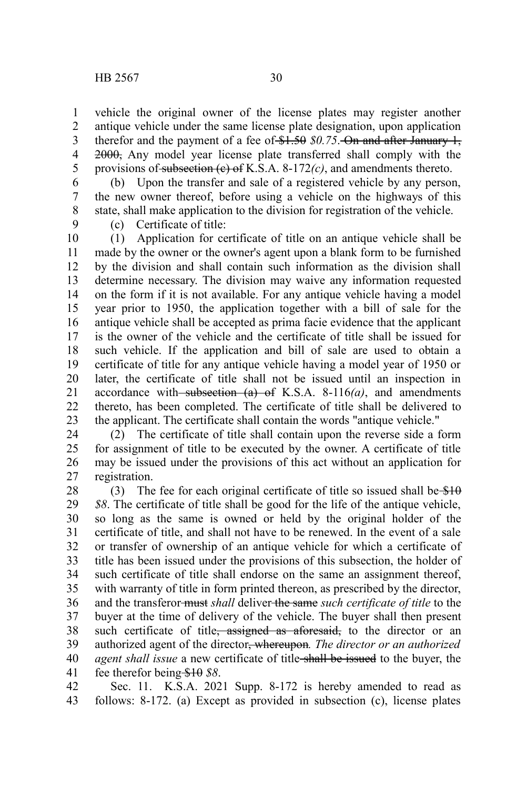vehicle the original owner of the license plates may register another antique vehicle under the same license plate designation, upon application therefor and the payment of a fee of  $$1.50$   $$0.75$ . On and after January 1, 2000, Any model year license plate transferred shall comply with the provisions of subsection (c) of K.S.A. 8-172*(c)*, and amendments thereto. 1 2 3 4 5

(b) Upon the transfer and sale of a registered vehicle by any person, the new owner thereof, before using a vehicle on the highways of this state, shall make application to the division for registration of the vehicle. 6 7 8

9

(c) Certificate of title:

(1) Application for certificate of title on an antique vehicle shall be made by the owner or the owner's agent upon a blank form to be furnished by the division and shall contain such information as the division shall determine necessary. The division may waive any information requested on the form if it is not available. For any antique vehicle having a model year prior to 1950, the application together with a bill of sale for the antique vehicle shall be accepted as prima facie evidence that the applicant is the owner of the vehicle and the certificate of title shall be issued for such vehicle. If the application and bill of sale are used to obtain a certificate of title for any antique vehicle having a model year of 1950 or later, the certificate of title shall not be issued until an inspection in accordance with subsection  $(a)$  of K.S.A. 8-116 $(a)$ , and amendments thereto, has been completed. The certificate of title shall be delivered to the applicant. The certificate shall contain the words "antique vehicle." 10 11 12 13 14 15 16 17 18 19 20 21 22 23

(2) The certificate of title shall contain upon the reverse side a form for assignment of title to be executed by the owner. A certificate of title may be issued under the provisions of this act without an application for registration. 24 25 26 27

(3) The fee for each original certificate of title so issued shall be  $$10$ *\$8*. The certificate of title shall be good for the life of the antique vehicle, so long as the same is owned or held by the original holder of the certificate of title, and shall not have to be renewed. In the event of a sale or transfer of ownership of an antique vehicle for which a certificate of title has been issued under the provisions of this subsection, the holder of such certificate of title shall endorse on the same an assignment thereof, with warranty of title in form printed thereon, as prescribed by the director, and the transferor must *shall* deliver the same *such certificate of title* to the buyer at the time of delivery of the vehicle. The buyer shall then present such certificate of title<del>, assigned as aforesaid,</del> to the director or an authorized agent of the director, whereupon*. The director or an authorized agent shall issue* a new certificate of title-shall be issued to the buyer, the fee therefor being \$10 *\$8*. 28 29 30 31 32 33 34 35 36 37 38 39 40 41

Sec. 11. K.S.A. 2021 Supp. 8-172 is hereby amended to read as follows: 8-172. (a) Except as provided in subsection (c), license plates 42 43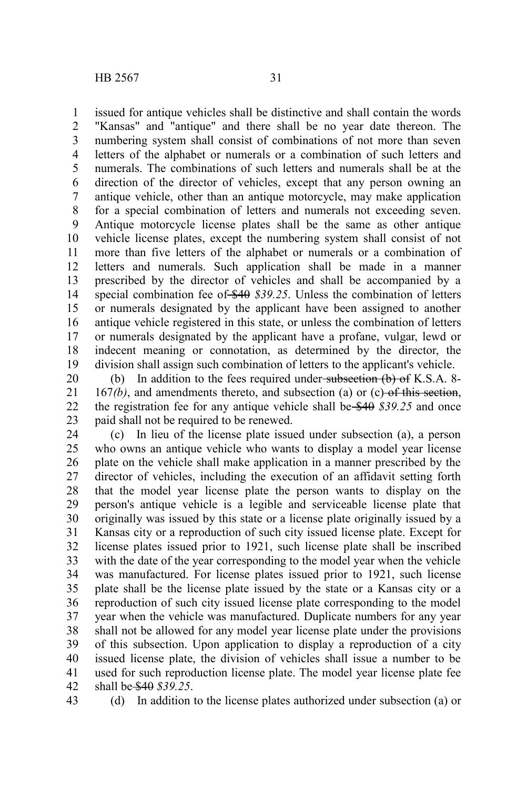issued for antique vehicles shall be distinctive and shall contain the words "Kansas" and "antique" and there shall be no year date thereon. The numbering system shall consist of combinations of not more than seven letters of the alphabet or numerals or a combination of such letters and numerals. The combinations of such letters and numerals shall be at the direction of the director of vehicles, except that any person owning an antique vehicle, other than an antique motorcycle, may make application for a special combination of letters and numerals not exceeding seven. Antique motorcycle license plates shall be the same as other antique vehicle license plates, except the numbering system shall consist of not more than five letters of the alphabet or numerals or a combination of letters and numerals. Such application shall be made in a manner prescribed by the director of vehicles and shall be accompanied by a special combination fee of \$40 \$39.25. Unless the combination of letters or numerals designated by the applicant have been assigned to another antique vehicle registered in this state, or unless the combination of letters or numerals designated by the applicant have a profane, vulgar, lewd or indecent meaning or connotation, as determined by the director, the division shall assign such combination of letters to the applicant's vehicle. 1 2 3 4 5 6 7 8 9 10 11 12 13 14 15 16 17 18 19

(b) In addition to the fees required under subsection  $(b)$  of K.S.A. 8-167*(b)*, and amendments thereto, and subsection (a) or (c) of this section, the registration fee for any antique vehicle shall be \$40 *\$39.25* and once paid shall not be required to be renewed. 20 21 22 23

(c) In lieu of the license plate issued under subsection (a), a person who owns an antique vehicle who wants to display a model year license plate on the vehicle shall make application in a manner prescribed by the director of vehicles, including the execution of an affidavit setting forth that the model year license plate the person wants to display on the person's antique vehicle is a legible and serviceable license plate that originally was issued by this state or a license plate originally issued by a Kansas city or a reproduction of such city issued license plate. Except for license plates issued prior to 1921, such license plate shall be inscribed with the date of the year corresponding to the model year when the vehicle was manufactured. For license plates issued prior to 1921, such license plate shall be the license plate issued by the state or a Kansas city or a reproduction of such city issued license plate corresponding to the model year when the vehicle was manufactured. Duplicate numbers for any year shall not be allowed for any model year license plate under the provisions of this subsection. Upon application to display a reproduction of a city issued license plate, the division of vehicles shall issue a number to be used for such reproduction license plate. The model year license plate fee shall be \$40 *\$39.25*. 24 25 26 27 28 29 30 31 32 33 34 35 36 37 38 39 40 41 42

43

(d) In addition to the license plates authorized under subsection (a) or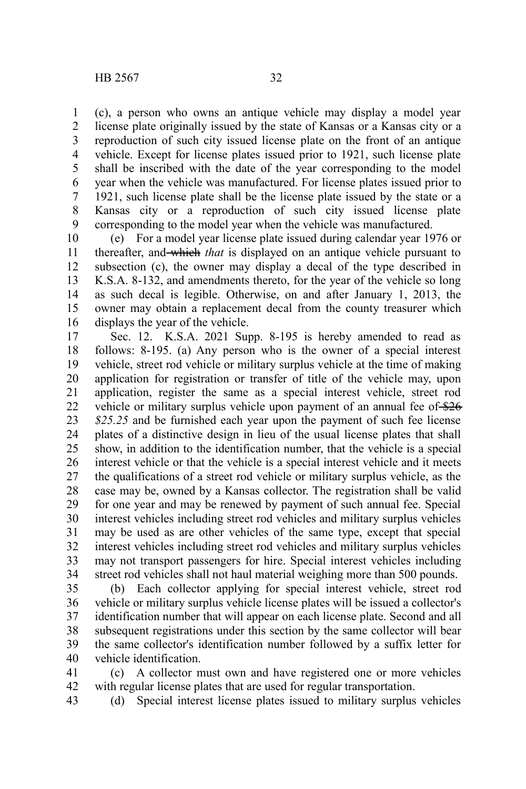(c), a person who owns an antique vehicle may display a model year license plate originally issued by the state of Kansas or a Kansas city or a reproduction of such city issued license plate on the front of an antique vehicle. Except for license plates issued prior to 1921, such license plate shall be inscribed with the date of the year corresponding to the model year when the vehicle was manufactured. For license plates issued prior to 1921, such license plate shall be the license plate issued by the state or a Kansas city or a reproduction of such city issued license plate corresponding to the model year when the vehicle was manufactured. 1 2 3 4 5 6 7 8 9

(e) For a model year license plate issued during calendar year 1976 or thereafter, and which *that* is displayed on an antique vehicle pursuant to subsection (c), the owner may display a decal of the type described in K.S.A. 8-132, and amendments thereto, for the year of the vehicle so long as such decal is legible. Otherwise, on and after January 1, 2013, the owner may obtain a replacement decal from the county treasurer which displays the year of the vehicle. 10 11 12 13 14 15 16

Sec. 12. K.S.A. 2021 Supp. 8-195 is hereby amended to read as follows: 8-195. (a) Any person who is the owner of a special interest vehicle, street rod vehicle or military surplus vehicle at the time of making application for registration or transfer of title of the vehicle may, upon application, register the same as a special interest vehicle, street rod vehicle or military surplus vehicle upon payment of an annual fee of \$26 *\$25.25* and be furnished each year upon the payment of such fee license plates of a distinctive design in lieu of the usual license plates that shall show, in addition to the identification number, that the vehicle is a special interest vehicle or that the vehicle is a special interest vehicle and it meets the qualifications of a street rod vehicle or military surplus vehicle, as the case may be, owned by a Kansas collector. The registration shall be valid for one year and may be renewed by payment of such annual fee. Special interest vehicles including street rod vehicles and military surplus vehicles may be used as are other vehicles of the same type, except that special interest vehicles including street rod vehicles and military surplus vehicles may not transport passengers for hire. Special interest vehicles including street rod vehicles shall not haul material weighing more than 500 pounds. 17 18 19 20 21 22 23 24 25 26 27 28 29 30 31 32 33 34

(b) Each collector applying for special interest vehicle, street rod vehicle or military surplus vehicle license plates will be issued a collector's identification number that will appear on each license plate. Second and all subsequent registrations under this section by the same collector will bear the same collector's identification number followed by a suffix letter for vehicle identification. 35 36 37 38 39 40

(c) A collector must own and have registered one or more vehicles with regular license plates that are used for regular transportation. 41 42

(d) Special interest license plates issued to military surplus vehicles 43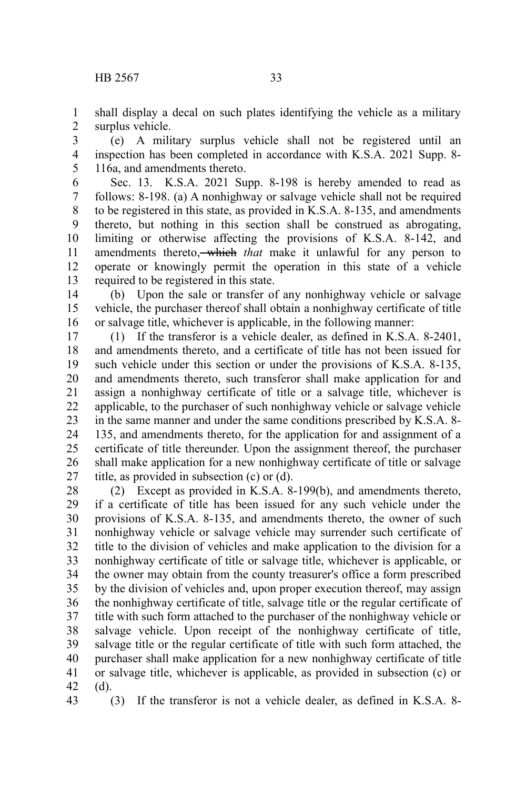shall display a decal on such plates identifying the vehicle as a military surplus vehicle. 1 2

(e) A military surplus vehicle shall not be registered until an inspection has been completed in accordance with K.S.A. 2021 Supp. 8- 116a, and amendments thereto. 3 4 5

Sec. 13. K.S.A. 2021 Supp. 8-198 is hereby amended to read as follows: 8-198. (a) A nonhighway or salvage vehicle shall not be required to be registered in this state, as provided in K.S.A. 8-135, and amendments thereto, but nothing in this section shall be construed as abrogating, limiting or otherwise affecting the provisions of K.S.A. 8-142, and amendments thereto, which *that* make it unlawful for any person to operate or knowingly permit the operation in this state of a vehicle required to be registered in this state. 6 7 8 9 10 11 12 13

(b) Upon the sale or transfer of any nonhighway vehicle or salvage vehicle, the purchaser thereof shall obtain a nonhighway certificate of title or salvage title, whichever is applicable, in the following manner: 14 15 16

(1) If the transferor is a vehicle dealer, as defined in K.S.A. 8-2401, and amendments thereto, and a certificate of title has not been issued for such vehicle under this section or under the provisions of K.S.A. 8-135, and amendments thereto, such transferor shall make application for and assign a nonhighway certificate of title or a salvage title, whichever is applicable, to the purchaser of such nonhighway vehicle or salvage vehicle in the same manner and under the same conditions prescribed by K.S.A. 8- 135, and amendments thereto, for the application for and assignment of a certificate of title thereunder. Upon the assignment thereof, the purchaser shall make application for a new nonhighway certificate of title or salvage title, as provided in subsection (c) or (d). 17 18 19 20 21 22 23 24 25 26 27

(2) Except as provided in K.S.A. 8-199(b), and amendments thereto, if a certificate of title has been issued for any such vehicle under the provisions of K.S.A. 8-135, and amendments thereto, the owner of such nonhighway vehicle or salvage vehicle may surrender such certificate of title to the division of vehicles and make application to the division for a nonhighway certificate of title or salvage title, whichever is applicable, or the owner may obtain from the county treasurer's office a form prescribed by the division of vehicles and, upon proper execution thereof, may assign the nonhighway certificate of title, salvage title or the regular certificate of title with such form attached to the purchaser of the nonhighway vehicle or salvage vehicle. Upon receipt of the nonhighway certificate of title, salvage title or the regular certificate of title with such form attached, the purchaser shall make application for a new nonhighway certificate of title or salvage title, whichever is applicable, as provided in subsection (c) or (d). 28 29 30 31 32 33 34 35 36 37 38 39 40 41 42

43

(3) If the transferor is not a vehicle dealer, as defined in K.S.A. 8-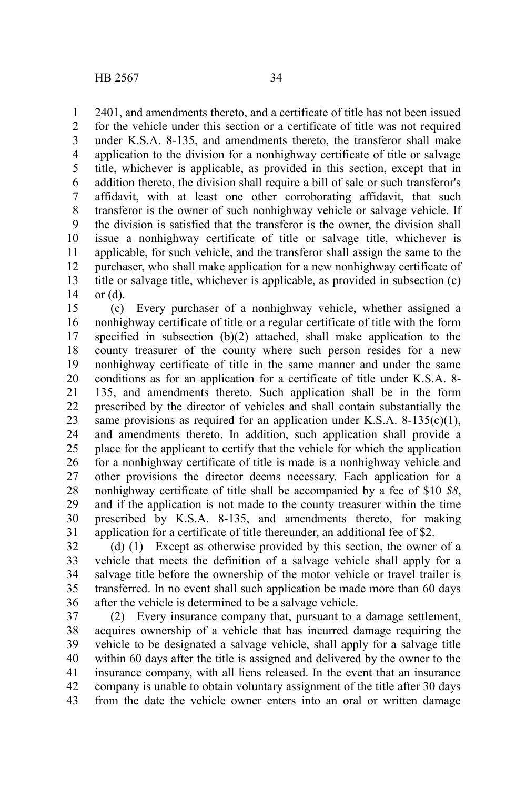2401, and amendments thereto, and a certificate of title has not been issued for the vehicle under this section or a certificate of title was not required under K.S.A. 8-135, and amendments thereto, the transferor shall make application to the division for a nonhighway certificate of title or salvage title, whichever is applicable, as provided in this section, except that in addition thereto, the division shall require a bill of sale or such transferor's affidavit, with at least one other corroborating affidavit, that such transferor is the owner of such nonhighway vehicle or salvage vehicle. If the division is satisfied that the transferor is the owner, the division shall issue a nonhighway certificate of title or salvage title, whichever is applicable, for such vehicle, and the transferor shall assign the same to the purchaser, who shall make application for a new nonhighway certificate of title or salvage title, whichever is applicable, as provided in subsection (c) or (d). 1 2 3 4 5 6 7 8 9 10 11 12 13 14

(c) Every purchaser of a nonhighway vehicle, whether assigned a nonhighway certificate of title or a regular certificate of title with the form specified in subsection (b)(2) attached, shall make application to the county treasurer of the county where such person resides for a new nonhighway certificate of title in the same manner and under the same conditions as for an application for a certificate of title under K.S.A. 8- 135, and amendments thereto. Such application shall be in the form prescribed by the director of vehicles and shall contain substantially the same provisions as required for an application under K.S.A.  $8-135(c)(1)$ , and amendments thereto. In addition, such application shall provide a place for the applicant to certify that the vehicle for which the application for a nonhighway certificate of title is made is a nonhighway vehicle and other provisions the director deems necessary. Each application for a nonhighway certificate of title shall be accompanied by a fee of \$10 *\$8*, and if the application is not made to the county treasurer within the time prescribed by K.S.A. 8-135, and amendments thereto, for making application for a certificate of title thereunder, an additional fee of \$2. 15 16 17 18 19 20 21 22 23 24 25 26 27 28 29 30 31

(d) (1) Except as otherwise provided by this section, the owner of a vehicle that meets the definition of a salvage vehicle shall apply for a salvage title before the ownership of the motor vehicle or travel trailer is transferred. In no event shall such application be made more than 60 days after the vehicle is determined to be a salvage vehicle. 32 33 34 35 36

(2) Every insurance company that, pursuant to a damage settlement, acquires ownership of a vehicle that has incurred damage requiring the vehicle to be designated a salvage vehicle, shall apply for a salvage title within 60 days after the title is assigned and delivered by the owner to the insurance company, with all liens released. In the event that an insurance company is unable to obtain voluntary assignment of the title after 30 days from the date the vehicle owner enters into an oral or written damage 37 38 39 40 41 42 43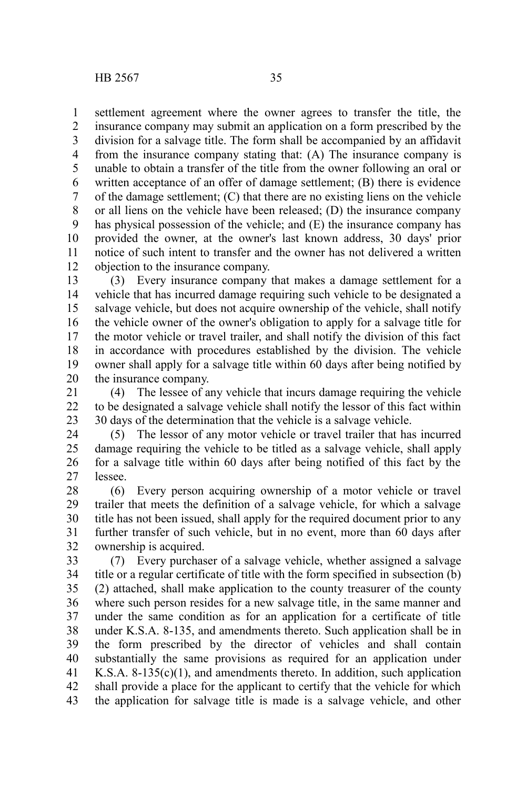settlement agreement where the owner agrees to transfer the title, the insurance company may submit an application on a form prescribed by the division for a salvage title. The form shall be accompanied by an affidavit from the insurance company stating that: (A) The insurance company is unable to obtain a transfer of the title from the owner following an oral or written acceptance of an offer of damage settlement; (B) there is evidence of the damage settlement; (C) that there are no existing liens on the vehicle or all liens on the vehicle have been released; (D) the insurance company has physical possession of the vehicle; and (E) the insurance company has provided the owner, at the owner's last known address, 30 days' prior notice of such intent to transfer and the owner has not delivered a written objection to the insurance company. 1 2 3 4 5 6 7 8 9 10 11 12

(3) Every insurance company that makes a damage settlement for a vehicle that has incurred damage requiring such vehicle to be designated a salvage vehicle, but does not acquire ownership of the vehicle, shall notify the vehicle owner of the owner's obligation to apply for a salvage title for the motor vehicle or travel trailer, and shall notify the division of this fact in accordance with procedures established by the division. The vehicle owner shall apply for a salvage title within 60 days after being notified by the insurance company. 13 14 15 16 17 18 19 20

(4) The lessee of any vehicle that incurs damage requiring the vehicle to be designated a salvage vehicle shall notify the lessor of this fact within 30 days of the determination that the vehicle is a salvage vehicle. 21 22 23

(5) The lessor of any motor vehicle or travel trailer that has incurred damage requiring the vehicle to be titled as a salvage vehicle, shall apply for a salvage title within 60 days after being notified of this fact by the lessee. 24 25 26 27

(6) Every person acquiring ownership of a motor vehicle or travel trailer that meets the definition of a salvage vehicle, for which a salvage title has not been issued, shall apply for the required document prior to any further transfer of such vehicle, but in no event, more than 60 days after ownership is acquired. 28 29 30 31 32

(7) Every purchaser of a salvage vehicle, whether assigned a salvage title or a regular certificate of title with the form specified in subsection (b) (2) attached, shall make application to the county treasurer of the county where such person resides for a new salvage title, in the same manner and under the same condition as for an application for a certificate of title under K.S.A. 8-135, and amendments thereto. Such application shall be in the form prescribed by the director of vehicles and shall contain substantially the same provisions as required for an application under K.S.A.  $8-135(c)(1)$ , and amendments thereto. In addition, such application shall provide a place for the applicant to certify that the vehicle for which the application for salvage title is made is a salvage vehicle, and other 33 34 35 36 37 38 39 40 41 42 43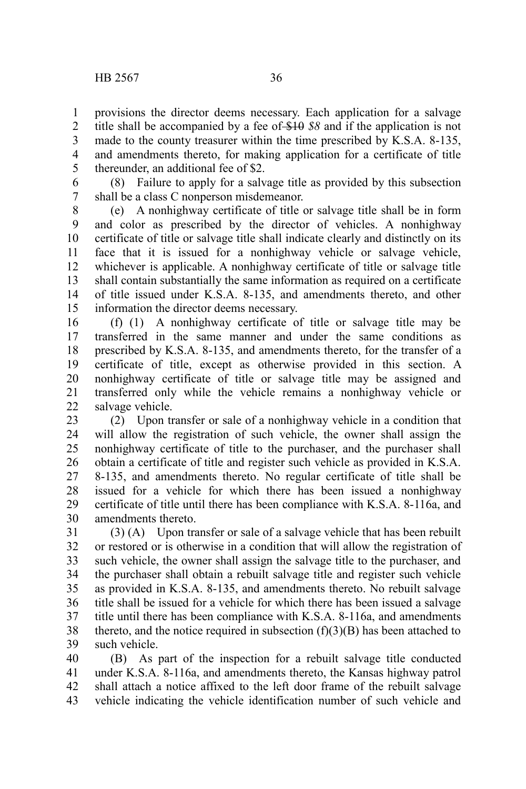provisions the director deems necessary. Each application for a salvage title shall be accompanied by a fee of \$10 *\$8* and if the application is not made to the county treasurer within the time prescribed by K.S.A. 8-135, and amendments thereto, for making application for a certificate of title thereunder, an additional fee of \$2. 1 2 3 4 5

(8) Failure to apply for a salvage title as provided by this subsection shall be a class C nonperson misdemeanor. 6 7

(e) A nonhighway certificate of title or salvage title shall be in form and color as prescribed by the director of vehicles. A nonhighway certificate of title or salvage title shall indicate clearly and distinctly on its face that it is issued for a nonhighway vehicle or salvage vehicle, whichever is applicable. A nonhighway certificate of title or salvage title shall contain substantially the same information as required on a certificate of title issued under K.S.A. 8-135, and amendments thereto, and other information the director deems necessary. 8 9 10 11 12 13 14 15

(f) (1) A nonhighway certificate of title or salvage title may be transferred in the same manner and under the same conditions as prescribed by K.S.A. 8-135, and amendments thereto, for the transfer of a certificate of title, except as otherwise provided in this section. A nonhighway certificate of title or salvage title may be assigned and transferred only while the vehicle remains a nonhighway vehicle or salvage vehicle. 16 17 18 19 20 21 22

(2) Upon transfer or sale of a nonhighway vehicle in a condition that will allow the registration of such vehicle, the owner shall assign the nonhighway certificate of title to the purchaser, and the purchaser shall obtain a certificate of title and register such vehicle as provided in K.S.A. 8-135, and amendments thereto. No regular certificate of title shall be issued for a vehicle for which there has been issued a nonhighway certificate of title until there has been compliance with K.S.A. 8-116a, and amendments thereto. 23 24 25 26 27 28 29 30

(3) (A) Upon transfer or sale of a salvage vehicle that has been rebuilt or restored or is otherwise in a condition that will allow the registration of such vehicle, the owner shall assign the salvage title to the purchaser, and the purchaser shall obtain a rebuilt salvage title and register such vehicle as provided in K.S.A. 8-135, and amendments thereto. No rebuilt salvage title shall be issued for a vehicle for which there has been issued a salvage title until there has been compliance with K.S.A. 8-116a, and amendments thereto, and the notice required in subsection  $(f)(3)(B)$  has been attached to such vehicle. 31 32 33 34 35 36 37 38 39

(B) As part of the inspection for a rebuilt salvage title conducted under K.S.A. 8-116a, and amendments thereto, the Kansas highway patrol shall attach a notice affixed to the left door frame of the rebuilt salvage vehicle indicating the vehicle identification number of such vehicle and 40 41 42 43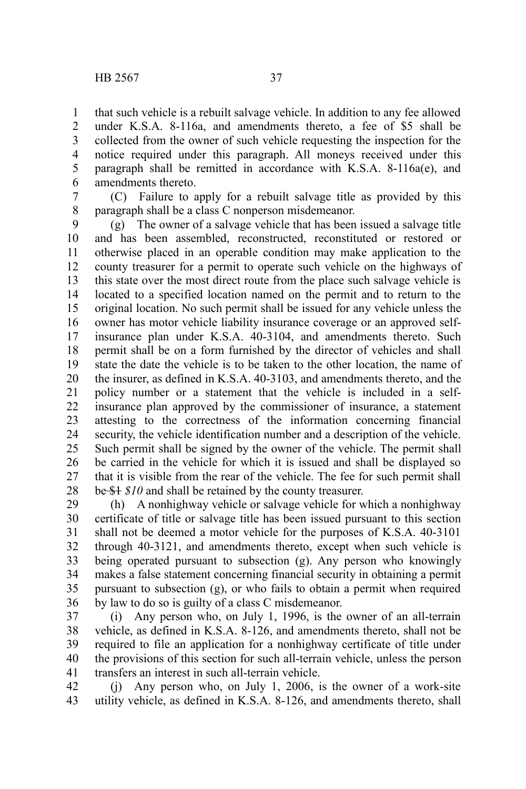that such vehicle is a rebuilt salvage vehicle. In addition to any fee allowed under K.S.A. 8-116a, and amendments thereto, a fee of \$5 shall be collected from the owner of such vehicle requesting the inspection for the notice required under this paragraph. All moneys received under this paragraph shall be remitted in accordance with K.S.A. 8-116a(e), and amendments thereto. 1 2 3 4 5 6

(C) Failure to apply for a rebuilt salvage title as provided by this paragraph shall be a class C nonperson misdemeanor. 7 8

(g) The owner of a salvage vehicle that has been issued a salvage title and has been assembled, reconstructed, reconstituted or restored or otherwise placed in an operable condition may make application to the county treasurer for a permit to operate such vehicle on the highways of this state over the most direct route from the place such salvage vehicle is located to a specified location named on the permit and to return to the original location. No such permit shall be issued for any vehicle unless the owner has motor vehicle liability insurance coverage or an approved selfinsurance plan under K.S.A. 40-3104, and amendments thereto. Such permit shall be on a form furnished by the director of vehicles and shall state the date the vehicle is to be taken to the other location, the name of the insurer, as defined in K.S.A. 40-3103, and amendments thereto, and the policy number or a statement that the vehicle is included in a selfinsurance plan approved by the commissioner of insurance, a statement attesting to the correctness of the information concerning financial security, the vehicle identification number and a description of the vehicle. Such permit shall be signed by the owner of the vehicle. The permit shall be carried in the vehicle for which it is issued and shall be displayed so that it is visible from the rear of the vehicle. The fee for such permit shall be \$1 *\$10* and shall be retained by the county treasurer. 9 10 11 12 13 14 15 16 17 18 19 20 21 22 23 24 25 26 27 28

(h) A nonhighway vehicle or salvage vehicle for which a nonhighway certificate of title or salvage title has been issued pursuant to this section shall not be deemed a motor vehicle for the purposes of K.S.A. 40-3101 through 40-3121, and amendments thereto, except when such vehicle is being operated pursuant to subsection (g). Any person who knowingly makes a false statement concerning financial security in obtaining a permit pursuant to subsection (g), or who fails to obtain a permit when required by law to do so is guilty of a class C misdemeanor. 29 30 31 32 33 34 35 36

(i) Any person who, on July 1, 1996, is the owner of an all-terrain vehicle, as defined in K.S.A. 8-126, and amendments thereto, shall not be required to file an application for a nonhighway certificate of title under the provisions of this section for such all-terrain vehicle, unless the person transfers an interest in such all-terrain vehicle. 37 38 39 40 41

(j) Any person who, on July 1, 2006, is the owner of a work-site utility vehicle, as defined in K.S.A. 8-126, and amendments thereto, shall 42 43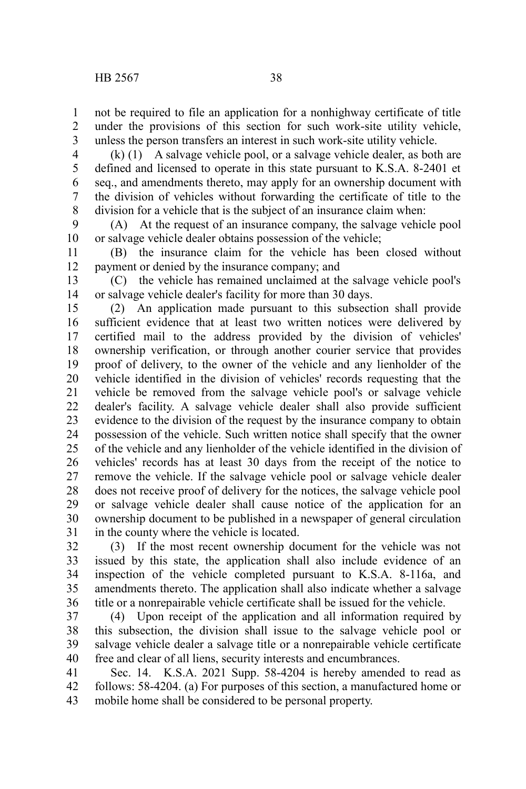not be required to file an application for a nonhighway certificate of title under the provisions of this section for such work-site utility vehicle, unless the person transfers an interest in such work-site utility vehicle. 1 2 3

(k) (1) A salvage vehicle pool, or a salvage vehicle dealer, as both are defined and licensed to operate in this state pursuant to K.S.A. 8-2401 et seq., and amendments thereto, may apply for an ownership document with the division of vehicles without forwarding the certificate of title to the division for a vehicle that is the subject of an insurance claim when: 4 5 6 7 8

(A) At the request of an insurance company, the salvage vehicle pool or salvage vehicle dealer obtains possession of the vehicle; 9 10

(B) the insurance claim for the vehicle has been closed without payment or denied by the insurance company; and 11 12

(C) the vehicle has remained unclaimed at the salvage vehicle pool's or salvage vehicle dealer's facility for more than 30 days. 13 14

(2) An application made pursuant to this subsection shall provide sufficient evidence that at least two written notices were delivered by certified mail to the address provided by the division of vehicles' ownership verification, or through another courier service that provides proof of delivery, to the owner of the vehicle and any lienholder of the vehicle identified in the division of vehicles' records requesting that the vehicle be removed from the salvage vehicle pool's or salvage vehicle dealer's facility. A salvage vehicle dealer shall also provide sufficient evidence to the division of the request by the insurance company to obtain possession of the vehicle. Such written notice shall specify that the owner of the vehicle and any lienholder of the vehicle identified in the division of vehicles' records has at least 30 days from the receipt of the notice to remove the vehicle. If the salvage vehicle pool or salvage vehicle dealer does not receive proof of delivery for the notices, the salvage vehicle pool or salvage vehicle dealer shall cause notice of the application for an ownership document to be published in a newspaper of general circulation in the county where the vehicle is located. 15 16 17 18 19 20 21 22 23 24 25 26 27 28 29 30 31

(3) If the most recent ownership document for the vehicle was not issued by this state, the application shall also include evidence of an inspection of the vehicle completed pursuant to K.S.A. 8-116a, and amendments thereto. The application shall also indicate whether a salvage title or a nonrepairable vehicle certificate shall be issued for the vehicle. 32 33 34 35 36

(4) Upon receipt of the application and all information required by this subsection, the division shall issue to the salvage vehicle pool or salvage vehicle dealer a salvage title or a nonrepairable vehicle certificate free and clear of all liens, security interests and encumbrances. 37 38 39 40

Sec. 14. K.S.A. 2021 Supp. 58-4204 is hereby amended to read as follows: 58-4204. (a) For purposes of this section, a manufactured home or mobile home shall be considered to be personal property. 41 42 43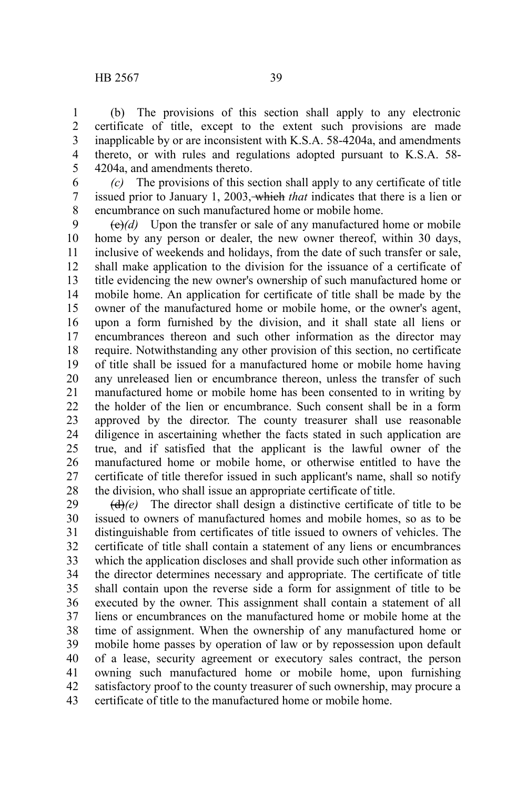(b) The provisions of this section shall apply to any electronic certificate of title, except to the extent such provisions are made inapplicable by or are inconsistent with K.S.A. 58-4204a, and amendments thereto, or with rules and regulations adopted pursuant to K.S.A. 58- 4204a, and amendments thereto. 1 2 3 4 5

*(c)* The provisions of this section shall apply to any certificate of title issued prior to January 1, 2003, which *that* indicates that there is a lien or encumbrance on such manufactured home or mobile home. 6 7 8

 $\left(\frac{e}{e}\right)$  Upon the transfer or sale of any manufactured home or mobile home by any person or dealer, the new owner thereof, within 30 days, inclusive of weekends and holidays, from the date of such transfer or sale, shall make application to the division for the issuance of a certificate of title evidencing the new owner's ownership of such manufactured home or mobile home. An application for certificate of title shall be made by the owner of the manufactured home or mobile home, or the owner's agent, upon a form furnished by the division, and it shall state all liens or encumbrances thereon and such other information as the director may require. Notwithstanding any other provision of this section, no certificate of title shall be issued for a manufactured home or mobile home having any unreleased lien or encumbrance thereon, unless the transfer of such manufactured home or mobile home has been consented to in writing by the holder of the lien or encumbrance. Such consent shall be in a form approved by the director. The county treasurer shall use reasonable diligence in ascertaining whether the facts stated in such application are true, and if satisfied that the applicant is the lawful owner of the manufactured home or mobile home, or otherwise entitled to have the certificate of title therefor issued in such applicant's name, shall so notify the division, who shall issue an appropriate certificate of title. 9 10 11 12 13 14 15 16 17 18 19 20 21  $22$ 23 24 25 26 27 28

(d)*(e)* The director shall design a distinctive certificate of title to be issued to owners of manufactured homes and mobile homes, so as to be distinguishable from certificates of title issued to owners of vehicles. The certificate of title shall contain a statement of any liens or encumbrances which the application discloses and shall provide such other information as the director determines necessary and appropriate. The certificate of title shall contain upon the reverse side a form for assignment of title to be executed by the owner. This assignment shall contain a statement of all liens or encumbrances on the manufactured home or mobile home at the time of assignment. When the ownership of any manufactured home or mobile home passes by operation of law or by repossession upon default of a lease, security agreement or executory sales contract, the person owning such manufactured home or mobile home, upon furnishing satisfactory proof to the county treasurer of such ownership, may procure a certificate of title to the manufactured home or mobile home. 29 30 31 32 33 34 35 36 37 38 39 40 41 42 43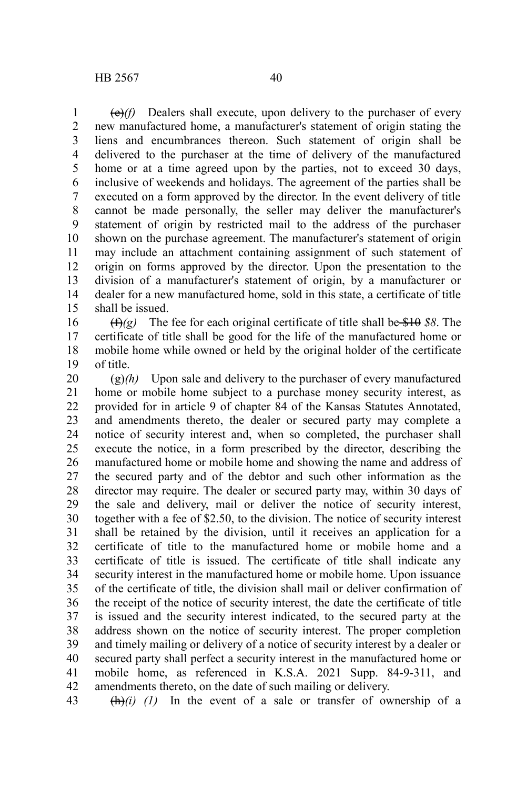(e)*(f)* Dealers shall execute, upon delivery to the purchaser of every new manufactured home, a manufacturer's statement of origin stating the liens and encumbrances thereon. Such statement of origin shall be delivered to the purchaser at the time of delivery of the manufactured home or at a time agreed upon by the parties, not to exceed 30 days, inclusive of weekends and holidays. The agreement of the parties shall be executed on a form approved by the director. In the event delivery of title cannot be made personally, the seller may deliver the manufacturer's statement of origin by restricted mail to the address of the purchaser shown on the purchase agreement. The manufacturer's statement of origin may include an attachment containing assignment of such statement of origin on forms approved by the director. Upon the presentation to the division of a manufacturer's statement of origin, by a manufacturer or dealer for a new manufactured home, sold in this state, a certificate of title shall be issued. 1 2 3 4 5 6 7 8 9 10 11 12 13 14 15

(f)*(g)* The fee for each original certificate of title shall be \$10 *\$8*. The certificate of title shall be good for the life of the manufactured home or mobile home while owned or held by the original holder of the certificate of title. 16 17 18 19

(g)*(h)* Upon sale and delivery to the purchaser of every manufactured home or mobile home subject to a purchase money security interest, as provided for in article 9 of chapter 84 of the Kansas Statutes Annotated, and amendments thereto, the dealer or secured party may complete a notice of security interest and, when so completed, the purchaser shall execute the notice, in a form prescribed by the director, describing the manufactured home or mobile home and showing the name and address of the secured party and of the debtor and such other information as the director may require. The dealer or secured party may, within 30 days of the sale and delivery, mail or deliver the notice of security interest, together with a fee of \$2.50, to the division. The notice of security interest shall be retained by the division, until it receives an application for a certificate of title to the manufactured home or mobile home and a certificate of title is issued. The certificate of title shall indicate any security interest in the manufactured home or mobile home. Upon issuance of the certificate of title, the division shall mail or deliver confirmation of the receipt of the notice of security interest, the date the certificate of title is issued and the security interest indicated, to the secured party at the address shown on the notice of security interest. The proper completion and timely mailing or delivery of a notice of security interest by a dealer or secured party shall perfect a security interest in the manufactured home or mobile home, as referenced in K.S.A. 2021 Supp. 84-9-311, and amendments thereto, on the date of such mailing or delivery. 20 21 22 23 24 25 26 27 28 29 30 31 32 33 34 35 36 37 38 39 40 41 42

(h)*(i) (1)* In the event of a sale or transfer of ownership of a 43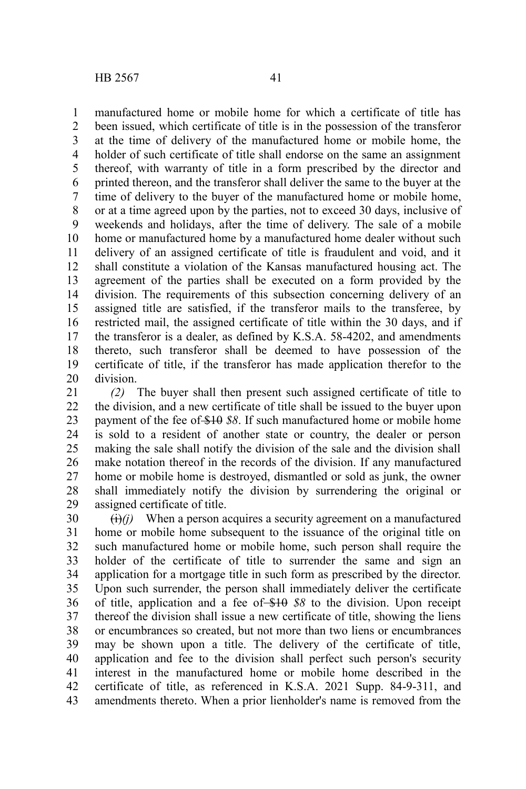manufactured home or mobile home for which a certificate of title has been issued, which certificate of title is in the possession of the transferor at the time of delivery of the manufactured home or mobile home, the holder of such certificate of title shall endorse on the same an assignment thereof, with warranty of title in a form prescribed by the director and printed thereon, and the transferor shall deliver the same to the buyer at the time of delivery to the buyer of the manufactured home or mobile home, or at a time agreed upon by the parties, not to exceed 30 days, inclusive of weekends and holidays, after the time of delivery. The sale of a mobile home or manufactured home by a manufactured home dealer without such delivery of an assigned certificate of title is fraudulent and void, and it shall constitute a violation of the Kansas manufactured housing act. The agreement of the parties shall be executed on a form provided by the division. The requirements of this subsection concerning delivery of an assigned title are satisfied, if the transferor mails to the transferee, by restricted mail, the assigned certificate of title within the 30 days, and if the transferor is a dealer, as defined by K.S.A. 58-4202, and amendments 9

certificate of title, if the transferor has made application therefor to the division. 19 20

*(2)* The buyer shall then present such assigned certificate of title to the division, and a new certificate of title shall be issued to the buyer upon payment of the fee of \$10 *\$8*. If such manufactured home or mobile home is sold to a resident of another state or country, the dealer or person making the sale shall notify the division of the sale and the division shall make notation thereof in the records of the division. If any manufactured home or mobile home is destroyed, dismantled or sold as junk, the owner shall immediately notify the division by surrendering the original or assigned certificate of title. 21 22 23 24 25 26 27 28 29

thereto, such transferor shall be deemed to have possession of the

 $\overrightarrow{(ii)}$  When a person acquires a security agreement on a manufactured home or mobile home subsequent to the issuance of the original title on such manufactured home or mobile home, such person shall require the holder of the certificate of title to surrender the same and sign an application for a mortgage title in such form as prescribed by the director. Upon such surrender, the person shall immediately deliver the certificate of title, application and a fee of \$10 \$8 to the division. Upon receipt thereof the division shall issue a new certificate of title, showing the liens or encumbrances so created, but not more than two liens or encumbrances may be shown upon a title. The delivery of the certificate of title, application and fee to the division shall perfect such person's security interest in the manufactured home or mobile home described in the certificate of title, as referenced in K.S.A. 2021 Supp. 84-9-311, and amendments thereto. When a prior lienholder's name is removed from the 30 31 32 33 34 35 36 37 38 39 40 41 42 43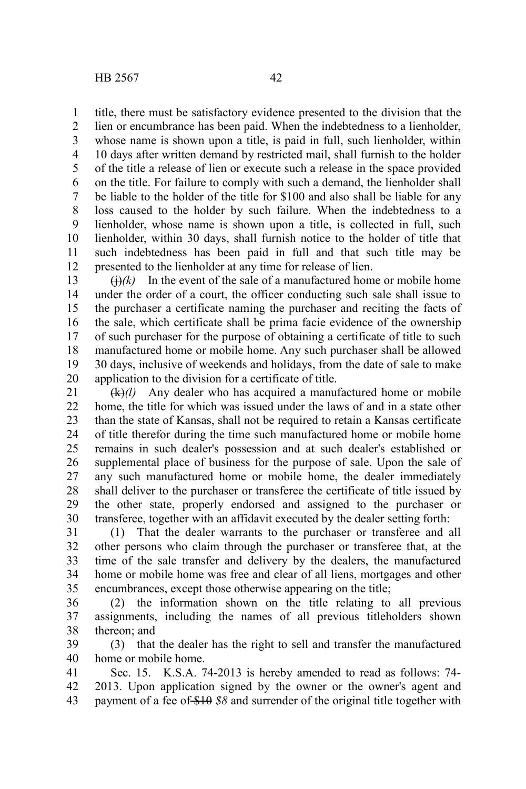title, there must be satisfactory evidence presented to the division that the 1

lien or encumbrance has been paid. When the indebtedness to a lienholder, whose name is shown upon a title, is paid in full, such lienholder, within 10 days after written demand by restricted mail, shall furnish to the holder of the title a release of lien or execute such a release in the space provided on the title. For failure to comply with such a demand, the lienholder shall be liable to the holder of the title for \$100 and also shall be liable for any loss caused to the holder by such failure. When the indebtedness to a lienholder, whose name is shown upon a title, is collected in full, such lienholder, within 30 days, shall furnish notice to the holder of title that such indebtedness has been paid in full and that such title may be presented to the lienholder at any time for release of lien. 2 3 4 5 6 7 8 9 10 11 12

 $\left(\frac{1}{k}\right)$  In the event of the sale of a manufactured home or mobile home under the order of a court, the officer conducting such sale shall issue to the purchaser a certificate naming the purchaser and reciting the facts of the sale, which certificate shall be prima facie evidence of the ownership of such purchaser for the purpose of obtaining a certificate of title to such manufactured home or mobile home. Any such purchaser shall be allowed 30 days, inclusive of weekends and holidays, from the date of sale to make application to the division for a certificate of title. 13 14 15 16 17 18 19 20

(k)*(l)* Any dealer who has acquired a manufactured home or mobile home, the title for which was issued under the laws of and in a state other than the state of Kansas, shall not be required to retain a Kansas certificate of title therefor during the time such manufactured home or mobile home remains in such dealer's possession and at such dealer's established or supplemental place of business for the purpose of sale. Upon the sale of any such manufactured home or mobile home, the dealer immediately shall deliver to the purchaser or transferee the certificate of title issued by the other state, properly endorsed and assigned to the purchaser or transferee, together with an affidavit executed by the dealer setting forth: 21 22 23 24 25 26 27 28 29 30

(1) That the dealer warrants to the purchaser or transferee and all other persons who claim through the purchaser or transferee that, at the time of the sale transfer and delivery by the dealers, the manufactured home or mobile home was free and clear of all liens, mortgages and other encumbrances, except those otherwise appearing on the title; 31 32 33 34 35

(2) the information shown on the title relating to all previous assignments, including the names of all previous titleholders shown thereon; and 36 37 38

(3) that the dealer has the right to sell and transfer the manufactured home or mobile home. 39 40

Sec. 15. K.S.A. 74-2013 is hereby amended to read as follows: 74- 2013. Upon application signed by the owner or the owner's agent and payment of a fee of \$10 *\$8* and surrender of the original title together with 41 42 43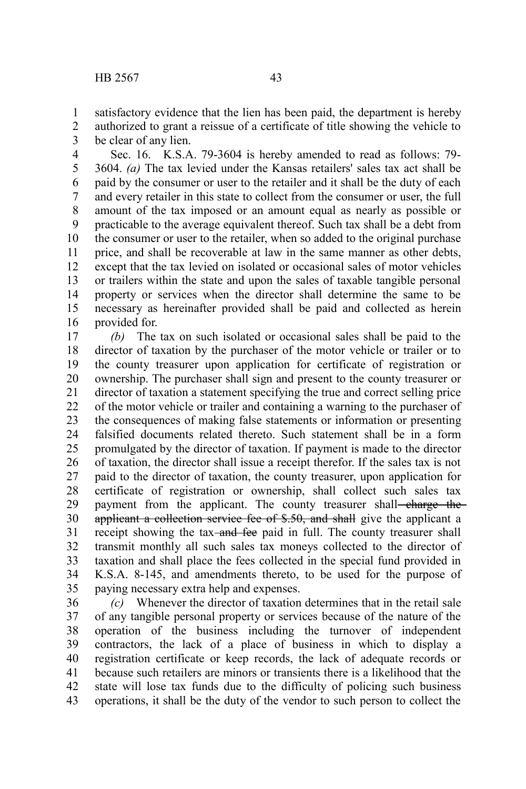satisfactory evidence that the lien has been paid, the department is hereby 1

2

authorized to grant a reissue of a certificate of title showing the vehicle to be clear of any lien. 3

Sec. 16. K.S.A. 79-3604 is hereby amended to read as follows: 79- 3604. *(a)* The tax levied under the Kansas retailers' sales tax act shall be paid by the consumer or user to the retailer and it shall be the duty of each and every retailer in this state to collect from the consumer or user, the full amount of the tax imposed or an amount equal as nearly as possible or practicable to the average equivalent thereof. Such tax shall be a debt from the consumer or user to the retailer, when so added to the original purchase price, and shall be recoverable at law in the same manner as other debts, except that the tax levied on isolated or occasional sales of motor vehicles or trailers within the state and upon the sales of taxable tangible personal property or services when the director shall determine the same to be necessary as hereinafter provided shall be paid and collected as herein provided for. 4 5 6 7 8 9 10 11 12 13 14 15 16

*(b)* The tax on such isolated or occasional sales shall be paid to the director of taxation by the purchaser of the motor vehicle or trailer or to the county treasurer upon application for certificate of registration or ownership. The purchaser shall sign and present to the county treasurer or director of taxation a statement specifying the true and correct selling price of the motor vehicle or trailer and containing a warning to the purchaser of the consequences of making false statements or information or presenting falsified documents related thereto. Such statement shall be in a form promulgated by the director of taxation. If payment is made to the director of taxation, the director shall issue a receipt therefor. If the sales tax is not paid to the director of taxation, the county treasurer, upon application for certificate of registration or ownership, shall collect such sales tax payment from the applicant. The county treasurer shall-charge theapplicant a collection service fee of \$.50, and shall give the applicant a receipt showing the tax-and fee paid in full. The county treasurer shall transmit monthly all such sales tax moneys collected to the director of taxation and shall place the fees collected in the special fund provided in K.S.A. 8-145, and amendments thereto, to be used for the purpose of paying necessary extra help and expenses. 17 18 19 20 21 22 23 24 25 26 27 28 29 30 31 32 33 34 35

*(c)* Whenever the director of taxation determines that in the retail sale of any tangible personal property or services because of the nature of the operation of the business including the turnover of independent contractors, the lack of a place of business in which to display a registration certificate or keep records, the lack of adequate records or because such retailers are minors or transients there is a likelihood that the state will lose tax funds due to the difficulty of policing such business operations, it shall be the duty of the vendor to such person to collect the 36 37 38 39 40 41 42 43